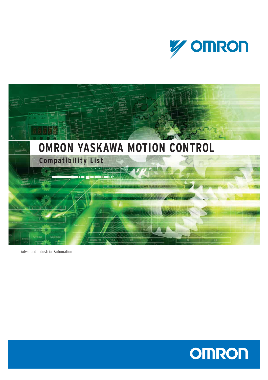



Advanced Industrial Automation

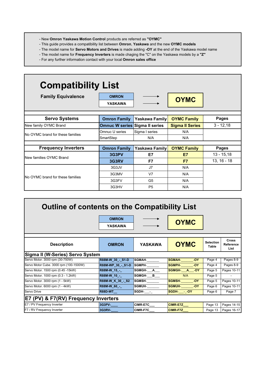- New **Omron Yaskawa Motion Control** products are referred as **"OYMC"**
- This guide provides a compatibility list between **Omron**, **Yaskawa** and the new **OYMC models**
- The model name for **Servo Motors and Drives** is made adding **-OY** at the end of the Yaskawa model name
- The model name for **Frequency Inverters** is made chaging the "C" on the Yaskawa models by a **"Z"**
- For any further information contact with your local **Omron sales office**

| <b>Compatibility List</b>                |                                |                       |                        |               |  |  |  |  |  |  |  |  |  |
|------------------------------------------|--------------------------------|-----------------------|------------------------|---------------|--|--|--|--|--|--|--|--|--|
| <b>Family Equivalence</b>                | <b>OMRON</b><br><b>YASKAWA</b> |                       | <b>OYMC</b>            |               |  |  |  |  |  |  |  |  |  |
| <b>Servo Systems</b>                     | <b>Omron Family</b>            | <b>Yaskawa Family</b> | <b>OYMC Family</b>     | <b>Pages</b>  |  |  |  |  |  |  |  |  |  |
| New family OYMC Brand                    | Omnuc W series Sigma II series |                       | <b>Sigma II Series</b> | $3 - 12,18$   |  |  |  |  |  |  |  |  |  |
| <b>INo OYMC brand for these families</b> | Omnuc U series                 | Sigma I series        | N/A                    |               |  |  |  |  |  |  |  |  |  |
|                                          | SmartStep                      | N/A                   | N/A                    |               |  |  |  |  |  |  |  |  |  |
| <b>Frequency Inverters</b>               | <b>Omron Family</b>            | Yaskawa Family        | <b>OYMC Family</b>     | Pages         |  |  |  |  |  |  |  |  |  |
|                                          | 3G3PV                          | E7                    | E7                     | $13 - 15,18$  |  |  |  |  |  |  |  |  |  |
| <b>INew families OYMC Brand</b>          | 3G3RV                          | F7                    | F7                     | $13, 16 - 18$ |  |  |  |  |  |  |  |  |  |
|                                          | 3G3JV                          | J7                    | N/A                    |               |  |  |  |  |  |  |  |  |  |
|                                          | 3G3MV                          | V <sub>7</sub>        | N/A                    |               |  |  |  |  |  |  |  |  |  |
| INo OYMC brand for these families        | 3G3FV                          | G <sub>5</sub>        | N/A                    |               |  |  |  |  |  |  |  |  |  |
|                                          | 3G3HV                          | P <sub>5</sub>        | N/A                    |               |  |  |  |  |  |  |  |  |  |

| <b>Outline of contents on the Compatibility List</b> |                                |                 |                        |                                  |                          |  |  |  |  |  |  |  |  |
|------------------------------------------------------|--------------------------------|-----------------|------------------------|----------------------------------|--------------------------|--|--|--|--|--|--|--|--|
|                                                      | <b>OMRON</b><br><b>YASKAWA</b> |                 | <b>OYMC</b>            |                                  |                          |  |  |  |  |  |  |  |  |
|                                                      |                                |                 |                        |                                  | <b>Cross</b>             |  |  |  |  |  |  |  |  |
| <b>Description</b>                                   | <b>OMRON</b>                   | <b>YASKAWA</b>  | <b>OYMC</b>            | <b>Selection</b><br><b>Table</b> | <b>Reference</b><br>List |  |  |  |  |  |  |  |  |
| Sigma II (W-Series) Servo System                     |                                |                 |                        |                                  |                          |  |  |  |  |  |  |  |  |
| Servo Motor. 3000 rpm (30-750W)                      | R88M-W 30 - S1-D               | SGMAH-          | SGMAH-<br>$-OY$        | Page 4                           | Pages 8-9                |  |  |  |  |  |  |  |  |
| Servo Motor Cube. 3000 rpm (100-1500W)               | R88M-WP 30 - S1-D              | <b>SGMPH-</b>   | <b>SGMPH-</b><br>$-OY$ | Page 4                           | Pages 8-9                |  |  |  |  |  |  |  |  |
| Servo Motor. 1500 rpm (0.45 -15kW)                   | R88M-W_15_-_                   | SGMGH-A         | SGMGH- A -OY           | Page 5                           | Pages 10-11              |  |  |  |  |  |  |  |  |
| Servo Motor. 1000 rpm (0.3 - 1.2kW)                  | R88M-W 10 -                    | SGMGH-B         | N/A                    | Page 5                           | $\sim$                   |  |  |  |  |  |  |  |  |
| Servo Motor. 3000 rpm (1 - 5kW)                      | <b>R88M-W K 30 - S2</b>        | <b>SGMSH-</b>   | <b>SGMSH-</b><br>$-OY$ | Page 5                           | Pages 10-11              |  |  |  |  |  |  |  |  |
| Servo Motor. 6000 rpm (1 - 4kW)                      | R88M-W 60 -                    | <b>SGMUH-</b>   | <b>SGMUH-</b><br>$-OY$ | Page 6                           | Pages 10-11              |  |  |  |  |  |  |  |  |
| Servo Drive                                          | <b>R88D-WT</b>                 | SGDH- -         | SGDH- - - OY           | Page 6                           | Page 7                   |  |  |  |  |  |  |  |  |
| E7 (PV) & F7(RV) Frequency Inverters                 |                                |                 |                        |                                  |                          |  |  |  |  |  |  |  |  |
| E7 / PV Frequency Inverter                           | 3G3PV-                         | CIMR-E7C__      | <b>CIMR-E7Z</b>        | Page 13                          | Pages 14-15              |  |  |  |  |  |  |  |  |
| F7 / RV Frequency Inverter                           | 3G3RV-                         | <b>CIMR-F7C</b> | <b>CIMR-F7Z</b>        | Page 13                          | Pages 16-17              |  |  |  |  |  |  |  |  |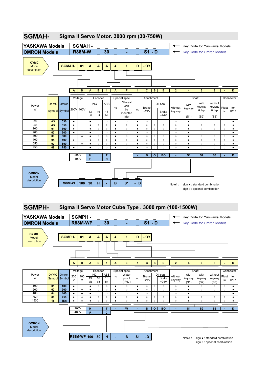

### **SGMAH- Sigma II Servo Motor. 3000 rpm (30-750W)**

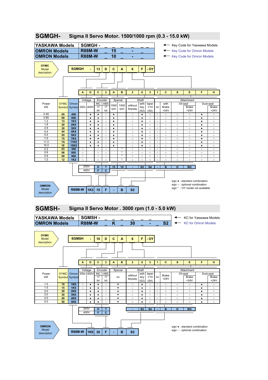

## **SGMGH- Sigma II Servo Motor. 1500/1000 rpm (0.3 - 15.0 kW)**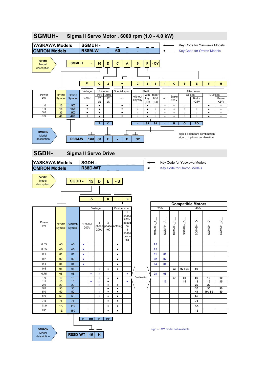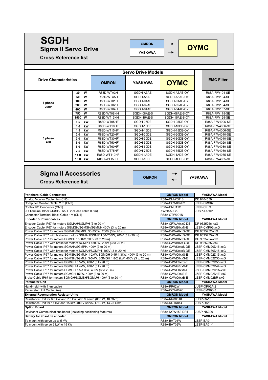### **SGDH OMRON**  $\rightarrow$  **OYMC Sigma II Servo Drive YASKAWACross Reference list Servo Drive Models Drive Characteristics EMC Filter OMRON YASKAWA OYMC 30 W** R88D-WTA3H SGDH-A3AE SGDH-A3AE-OY R88A-FIW104-SE **50 W** R88D-WTA5H SGDH-A5AE SGDH-A5AE-OY R88A-FIW104-SE **100 W** R88D-WT01H SGDH-01AE SGDH-01AE-OY R88A-FIW104-SE **1 phase 200 W** R88D-WT02H SGDH-02AE SGDH-02AE-OY R88A-FIW104-SE **200V 400 W** R88D-WT04H SGDH-04AE SGDH-04AE-OY R88A-FIW107-SE **750 W |** R88D-WT08HH | SGDH-08AE-S | SGDH-08AE-S-OY **|** | R88A-FIW115-SE **1500 W** R88D-WT15HH SGDH-15AE-S SGDH-15AE-S-OY R88A-FIW125-SE **0.5 kW** R88D-WT05HF SGDH-05DE SGDH-05DE-OY R88A-FIW4006-SE 1.0 kW R88D-WT10HF SGDH-10DE SGDH-10DE-OY R88A-FIW4006-SE<br>1.5 kW R88D-WT15HF SGDH-15DE SGDH-15DE-OY R88A-FIW4006-SE **1.5 kW** R88D-WT15HF SGDH-15DE SGDH-15DE-OY R88A-FIW4006-SE **2.0 kW** R88D-WT20HF SGDH-20DE SGDH-20DE-OY R88A-FIW4010-SE **3 phase 3.0 kW R88D-WT30HF SGDH-30DE SGDH-30DE-OY I R88A-FIW4010-SE 400 5.0 kW** R88D-WT50HF SGDH-50DE SGDH-50DE-OY R88A-FIW4020-SE **6.0 kW** R88D-WT60HF SGDH-60DE SGDH-60DE-OY R88A-FIW4030-SE **7.5 kW** R88D-WT75HF SGDH-75DE SGDH-75DE-OY R88A-FIW4030-SE **12.0 kW** R88A-FIW4055-SE **15.0 kW** R88D-WT150HF SGDH-1EDE SGDH-1EDE-OY | R88A-FIW4055-SE **Sigma II Accessories OMRON YASKAWA Cross Reference list Peripheral Cable Connectors OMRON Model YASKAWA Model** Analog Monitor Cable 1m (CN5) R88A-CMW001S DE 9404559 Computer Monitor Cable 2 m (CN3) R88A-CCW002P2 JJZSP-CMS02 Control I/O Connector (CN1) R88A-CNU11C JZSP-CKI 9 I/O Terminal Block (JUSP-TA50P includes cable 0.5m) XW2B-50G5 JUSP-TA50P Connector Terminal Block Cable 1m (CN1) **R88A-CTW001N** R88A-CTW001N **Encoder & Power cables OMRON Model YASKAWA Model** Encoder Cable IP67 for motors SGMAH/SGMPH (3 to 20 m) RESALL RESALG RESALT RESALCRWA0xxC-DE DP 9325256-xxG Encoder Cable IP67 for motors SGMGH/SGMSH/SGMUH 400V (3 to 20 m) R88A-CRWB0xxN-E JJZSP-CMP02-xxG

| <b>Peripheral Cable Connectors</b>                                                | <b>OMRON Model</b>  | YASKAWA Model     |
|-----------------------------------------------------------------------------------|---------------------|-------------------|
| Analog Monitor Cable 1m (CN5)                                                     | R88A-CMW001S        | DE 9404559        |
| Computer Monitor Cable 2 m (CN3)                                                  | R88A-CCW002P2       | JZSP-CMS02        |
| Control I/O Connector (CN1)                                                       | R88A-CNU11C         | JZSP-CKI9         |
| I/O Terminal Block (JUSP-TA50P includes cable 0.5m)                               | XW2B-50G5           | JUSP-TA50P        |
| Connector Terminal Block Cable 1m (CN1)                                           | R88A-CTW001N        |                   |
| <b>Encoder &amp; Power cables</b>                                                 | <b>OMRON Model</b>  | YASKAWA Model     |
| Encoder Cable IP67 for motors SGMAH/SGMPH (3 to 20 m)                             | R88A-CRWA0xxC-DE    | DP 9325256-xxG    |
| Encoder Cable IP67 for motors SGMGH/SGMSH/SGMUH 400V (3 to 20 m)                  | R88A-CRWB0xxN-E     | JZSP-CMP02-xxG    |
| Power Cable IP67 for motors SGMAH/SGMPH 30-750W, 200V (3 to 20 m)                 | R88A-CAWA0xxS-DE    | DP 9325252-xxG    |
| Power Cable IP67 with brake for motors SGMAH/SGMPH 30-750W, 200V (3 to 20 m)      | R88A-CAWA0xxB-DE    | DP 9325253-xxG    |
| Power Cable IP67 for motors SGMPH 1500W, 200V (3 to 20 m)                         | R88A-CAWB0xxS-DE    | DP 9325254-xxG    |
| Power Cable IP67 with brake for motors SGMPH 1500W, 200V (3 to 20 m)              | R88A-CAWB0xxB-DE    | DP 9325255-xxG    |
| Power Cable IP67 for motors SGMAH/SGMPH, 400V (3 to 20 m)                         | R88A-CAWK0xxS-DE    | JZSP-CMM20D15-xxG |
| Power Cable IP67 with brake for motors SGMAH/SGMPH, 400V (3 to 20 m)              | R88A-CAWK0xxB-DE    | JZSP-CMM30D15-xxG |
| Power Cable IP67 for motors SGMSH/SGMUH 1-2kW. SGMGH 0.45-1.3kW, 400V (3 to 20 m) | R88A-CAWC0xxS-E     | JZSP-CMM02D15-xxG |
| Power Cable IP67 for motors SGMSH/SGMUH 3-5kW. SGMGH 1.8-2.9kW, 400V (3 to 20 m)  | R88A-CAWD0xxS-E     | JZSP-CMM02D30-xxG |
| Power Cable IP67 for motors SGMGH 5.5kW, 400V (3 to 20 m)                         | R88A-CAWF0xxS-E     | JZSP-CMM02D55-xxG |
| Power Cable IP67 for motors SGMGH 4.4kW, 400V (3 to 20 m)                         | R88A-CAWG0xxS-E     | JZSP-CMM02D44-xxG |
| Power Cable IP67 for motors SGMGH 7.5-11kW, 400V (3 to 20 m)                      | R88A-CAWH0xxS-E     | JZSP-CMM02D1A-xxG |
| Power Cable IP67 for motors SGMGH 15kW, 400V (3 to 20 m)                          | R88A-CAWJ0xxS-E     | JZSP-CMM02D1E-xxG |
| Brake Cable IP67 for motors SGMGH/SGMSH/SGMUH 400V (3 to 20 m)                    | R88A-CAWC0xxB-E     | JZSP-CMM02BR-xxG  |
| <b>Parameter Unit</b>                                                             | <b>OMRON Model</b>  | YASKAWA Model     |
| Hand-held (with 1 -m cable)                                                       | R88A-PR02W          | JUSP-OP02A-2      |
| Parameter Unit Cable (2m)                                                         | <b>R88A-CCW002C</b> | JZSP-CMS00-3      |
| <b>External Regeneration Resistor Units</b>                                       | <b>OMRON Model</b>  | YASKAWA Model     |
| Resistance Unit for 6.0 kW and 7.5 kW, 400 V servo (880 W, 18 Ohm)                | R88A-RR88018        | JUSP-RA18         |
| Resistance Unit for 11 kW and 15 kW, 400 V servo (1760 W, 14.25 Ohm)              | R88A-RR1K814        | JUSP-RA19         |
| <b>Option Board</b>                                                               | <b>OMRON Model</b>  | YASKAWA Model     |
| Devicenet Communications board (including positioning features)                   | R88A-NCW152-DRT     | JUSP-NS300        |
| <b>Battery for absolute encoder</b>                                               | <b>OMRON Model</b>  | YASKAWA Model     |

To mount with servo up to 5 kW<br>To mount with servo 6 kW to 15 kW R88A-BAT02W R88A-BAT02W JZSP-BA01-1

 $\overline{10}$  mount with servo 6 kW to 15 kW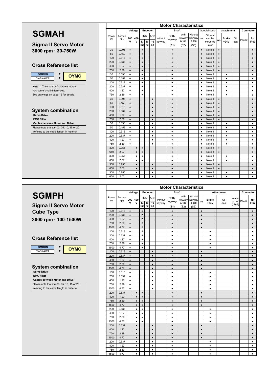

|                                          | <b>Motor Characteristics</b> |                     |                        |                         |                  |         |                  |                   |                |                         |                            |                |                               |           |                        |              |           |                        |
|------------------------------------------|------------------------------|---------------------|------------------------|-------------------------|------------------|---------|------------------|-------------------|----------------|-------------------------|----------------------------|----------------|-------------------------------|-----------|------------------------|--------------|-----------|------------------------|
|                                          |                              |                     |                        | Voltage                 |                  | Encoder |                  |                   | Shaft          |                         |                            |                | Special spec                  |           | attachment             |              | Connector |                        |
| <b>SGMAH</b>                             | Power<br>W                   | Torque<br><b>Nm</b> | v                      | 200 400<br>$\mathsf{v}$ | <b>INC</b><br>13 | 16      | <b>ABS</b><br>16 | without<br>keyway | with<br>keyway | with<br>keyway<br>& tap | without<br>keyway<br>& tap | no             | Oil seal<br>can be<br>mounted | no        | <b>Brake</b><br>$+24V$ | Oil<br>-seal | Plastic   | for<br><b>IP67</b>     |
| <b>Sigma II Servo Motor</b>              |                              |                     |                        |                         | bit              | bit I   | bit              |                   | (S1)           | (S2)                    | (S3)                       |                | later                         |           |                        |              |           |                        |
| 3000 rpm · 30-750W                       | 30                           | 0.096               | $\bullet$              |                         | $\bullet$        |         |                  |                   | $\bullet$      |                         |                            | $\bullet$      | Note 1                        | $\bullet$ |                        |              |           | $\bullet$              |
|                                          | 50                           | 0.159               | $\bullet$              |                         | $\bullet$        |         |                  |                   | $\bullet$      |                         |                            | $\bullet$      | Note 1                        | $\bullet$ |                        |              |           | $\bullet$              |
|                                          | 100                          | 0.318               | $\bullet$              |                         | $\bullet$        |         |                  |                   | $\bullet$      |                         |                            | $\bullet$      | Note 1                        | $\bullet$ |                        |              |           | $\bullet$              |
|                                          | 200                          | 0.637               | $\bullet$              |                         | $\bullet$        |         |                  |                   | $\bullet$      |                         |                            | $\bullet$      | Note 1                        | $\bullet$ |                        |              |           | $\bullet$              |
| <b>Cross Reference list</b>              | 400                          | 1.27                | $\bullet$              |                         | $\bullet$        |         |                  |                   | $\bullet$      |                         |                            | $\bullet$      | Note 1                        | $\bullet$ |                        |              |           | $\bullet$              |
|                                          | 750                          | 2.39                | $\bullet$              |                         | $\bullet$        |         |                  |                   | $\bullet$      |                         |                            | $\bullet$      | Note 1                        | $\bullet$ |                        |              |           | $\bullet$              |
| <b>OMRON</b><br><b>OYMC</b>              | 30                           | 0.096               | $\bullet$              |                         | $\bullet$        |         |                  |                   | $\bullet$      |                         |                            | $\bullet$      | Note 1                        |           | $\bullet$              |              |           | $\bullet$              |
| YASKAWA                                  | 50                           | 0.159               | $\bullet$              |                         | $\bullet$        |         |                  |                   | ٠              |                         |                            | $\bullet$      | Note 1                        |           | $\bullet$              |              |           | $\bullet$              |
|                                          | 100                          | 0.318               | $\bullet$              |                         | $\bullet$        |         |                  |                   | $\bullet$      |                         |                            | $\bullet$      | Note 1                        |           | $\bullet$              |              |           | $\bullet$              |
| Note 1: The shaft on Yaskawa motors      | 200                          | 0.637               | $\bullet$              |                         | $\bullet$        |         |                  |                   | $\bullet$      |                         |                            | $\bullet$      | Note 1                        |           | $\bullet$              |              |           | $\bullet$              |
| has some small differences.              | 400                          | 1.27                | $\bullet$              |                         | $\bullet$        |         |                  |                   | ٠              |                         |                            | $\bullet$      | Note 1                        |           | ٠                      |              |           | $\bullet$              |
| See drawings on page 12 for details      | 750                          | 2.39                | $\bullet$              |                         | $\bullet$        |         |                  |                   | ٠              |                         |                            | $\bullet$      | Note 1                        |           | ٠                      |              |           | $\bullet$              |
|                                          | 30                           | 0.096               | $\bullet$              |                         |                  |         | $\bullet$        |                   | $\bullet$      |                         |                            | $\bullet$      | Note 1                        | $\bullet$ |                        |              |           | $\bullet$              |
|                                          | 50                           | 0.159               | $\bullet$              |                         |                  |         | $\bullet$        |                   | $\bullet$      |                         |                            | $\bullet$      | Note 1                        | $\bullet$ |                        |              |           | $\bullet$              |
| <b>System combination</b>                | 100                          | 0.318               | $\bullet$              |                         |                  |         | $\bullet$        |                   | $\bullet$      |                         |                            | $\bullet$      | Note 1                        | $\bullet$ |                        |              |           | $\bullet$              |
|                                          | 200                          | 0.637               | $\bullet$              |                         |                  |         | $\bullet$        |                   | $\bullet$      |                         |                            | $\bullet$      | Note 1                        | $\bullet$ |                        |              |           | $\bullet$              |
| Servo Drive<br><b>EMC Filter</b>         | 400<br>750                   | 1.27                | $\bullet$              |                         |                  |         | $\bullet$        |                   | $\bullet$      |                         |                            | $\bullet$      | Note 1                        | $\bullet$ |                        |              |           | $\bullet$              |
| <b>Cables between Motor and Drive</b>    | 30                           | 2.39<br>0.096       | $\bullet$<br>$\bullet$ |                         |                  |         | $\bullet$        |                   | $\bullet$      |                         |                            | $\bullet$      | Note 1<br>Note 1              | $\bullet$ | $\bullet$              |              |           | $\bullet$<br>$\bullet$ |
| Please note that xx=03, 05, 10, 15 or 20 | 50                           | 0.159               | $\bullet$              |                         |                  |         | ٠<br>$\bullet$   |                   | ٠<br>$\bullet$ |                         |                            | ٠<br>$\bullet$ | Note 1                        |           | $\bullet$              |              |           | $\bullet$              |
| (refering to the cable length in meters) | 100                          | 0.318               | $\bullet$              |                         |                  |         | $\bullet$        |                   | $\bullet$      |                         |                            | $\bullet$      | Note 1                        |           | $\bullet$              |              |           | $\bullet$              |
|                                          | 200                          | 0.637               | $\bullet$              |                         |                  |         | $\bullet$        |                   | ٠              |                         |                            | $\bullet$      | Note 1                        |           | ٠                      |              |           | $\bullet$              |
|                                          | 400                          | 1.27                | $\bullet$              |                         |                  |         | $\bullet$        |                   | ٠              |                         |                            | $\bullet$      | Note 1                        |           | $\bullet$              |              |           | $\bullet$              |
|                                          | 750                          | 2.39                | $\bullet$              |                         |                  |         | $\bullet$        |                   | $\bullet$      |                         |                            | $\bullet$      | Note 1                        |           | ٠                      |              |           | $\bullet$              |
|                                          | 300                          | 0.955               |                        | $\bullet$               | $\bullet$        |         |                  |                   | $\bullet$      |                         |                            | $\bullet$      | Note 1                        | $\bullet$ |                        |              |           | $\bullet$              |
|                                          | 650                          | 2.07                |                        | $\bullet$               | $\bullet$        |         |                  |                   | $\bullet$      |                         |                            | $\bullet$      | Note 1                        | $\bullet$ |                        |              |           | $\bullet$              |
|                                          | 300                          | 0.955               |                        | $\bullet$               | $\bullet$        |         |                  |                   | $\bullet$      |                         |                            | $\bullet$      | Note 1                        |           | $\bullet$              |              |           | $\bullet$              |
|                                          | 650                          | 2.07                |                        | $\bullet$               | $\bullet$        |         |                  |                   | $\bullet$      |                         |                            | $\bullet$      | Note 1                        |           | $\bullet$              |              |           | $\bullet$              |
|                                          | 300                          | 0.955               |                        | $\bullet$               |                  |         | $\bullet$        |                   | $\bullet$      |                         |                            | $\bullet$      | Note 1                        | $\bullet$ |                        |              |           | $\bullet$              |
|                                          | 650                          | 2.07                |                        | $\bullet$               |                  |         | $\bullet$        |                   | $\bullet$      |                         |                            | $\bullet$      | Note 1                        | $\bullet$ |                        |              |           | $\bullet$              |
|                                          | 300                          | 0.955               |                        | $\bullet$               |                  |         | ٠                |                   | ٠              |                         |                            | $\bullet$      | Note 1                        |           | ٠                      |              |           | $\bullet$              |
|                                          | 650                          | 2.07                |                        | $\bullet$               |                  |         | $\bullet$        |                   | $\bullet$      |                         |                            | ٠              | Note 1                        |           | ٠                      |              |           | $\bullet$              |



# **System combination**

|                                                            | <b>Motor Characteristics</b> |                     |                        |                         |                        |             |                        |                   |                        |                         |                            |           |                        |                   |        |               |                        |
|------------------------------------------------------------|------------------------------|---------------------|------------------------|-------------------------|------------------------|-------------|------------------------|-------------------|------------------------|-------------------------|----------------------------|-----------|------------------------|-------------------|--------|---------------|------------------------|
|                                                            |                              |                     |                        | Voltage                 |                        | Encoder     |                        |                   | Shaft                  |                         |                            |           |                        | <b>Attachment</b> |        | Connector     |                        |
| <b>SGMPH</b>                                               | Power<br>W                   | Torque<br><b>Nm</b> | $\mathsf{v}$           | 200 400<br>$\mathsf{v}$ | <b>INC</b>             | $13$ 16     | ABS<br>16              | without<br>keyway | with<br>keyway         | with<br>keyway<br>& tap | without<br>keyway<br>& tap | no        | <b>Brake</b><br>$+24V$ | Oil<br>-seal      | Water  | proof Plastic | for<br><b>IP67</b>     |
| <b>Sigma II Servo Motor</b>                                |                              |                     |                        |                         |                        | bit bit bit |                        |                   | (S1)                   | (S2)                    | (S3)                       |           |                        |                   | (IP67) |               |                        |
| <b>Cube Type</b>                                           | 100                          | 0.318               | $\bullet$              |                         | $\bullet$              |             |                        |                   | $\bullet$              |                         |                            | $\bullet$ |                        |                   |        |               | $\bullet$              |
|                                                            | 200                          | 0.637               | $\bullet$              |                         | $\bullet$              |             |                        |                   | $\bullet$              |                         |                            | $\bullet$ |                        |                   |        |               | $\bullet$              |
| 3000 rpm · 100-1500W                                       | 400                          | 1.27                | $\bullet$              |                         | $\bullet$              |             |                        |                   | $\bullet$              |                         |                            | $\bullet$ |                        |                   |        |               | $\bullet$              |
|                                                            | 750                          | 2.39                | $\bullet$              |                         | $\bullet$              |             |                        |                   | $\bullet$              |                         |                            | $\bullet$ |                        |                   |        |               | $\bullet$              |
|                                                            | 1500                         | 4.77                | $\bullet$              |                         | $\bullet$<br>$\bullet$ |             |                        |                   | $\bullet$              |                         |                            | $\bullet$ |                        |                   |        |               | $\bullet$              |
|                                                            | 100<br>200                   | 0.318<br>0.637      | $\bullet$<br>$\bullet$ |                         | $\bullet$              |             |                        |                   | ٠<br>$\bullet$         |                         |                            |           | $\bullet$<br>$\bullet$ |                   |        |               | $\bullet$<br>$\bullet$ |
| <b>Cross Reference list</b>                                | 400                          | 1.27                | $\bullet$              |                         | $\bullet$              |             |                        |                   | $\bullet$              |                         |                            |           | $\bullet$              |                   |        |               | $\bullet$              |
|                                                            | 750                          | 2.39                | $\bullet$              |                         | $\bullet$              |             |                        |                   | ٠                      |                         |                            |           | $\bullet$              |                   |        |               | $\bullet$              |
| <b>OMRON</b><br><b>OYMC</b>                                | 1500                         | 4.77                | $\bullet$              |                         | ٠                      |             |                        |                   | ٠                      |                         |                            |           | $\bullet$              |                   |        |               | $\bullet$              |
| $\rightarrow$<br>YASKAWA                                   | 100                          | 0.318               | $\bullet$              |                         |                        |             | $\bullet$              |                   | $\bullet$              |                         |                            | $\bullet$ |                        |                   |        |               | $\bullet$              |
|                                                            | 200                          | 0.637               | $\bullet$              |                         |                        |             | $\bullet$              |                   | $\bullet$              |                         |                            | $\bullet$ |                        |                   |        |               | $\bullet$              |
|                                                            | 400                          | 1.27                | $\bullet$              |                         |                        |             | $\bullet$              |                   | $\bullet$              |                         |                            | $\bullet$ |                        |                   |        |               | $\bullet$              |
|                                                            | 750                          | 2.39                | $\bullet$              |                         |                        |             | $\bullet$              |                   | $\bullet$              |                         |                            | $\bullet$ |                        |                   |        |               | $\bullet$              |
| <b>System combination</b>                                  | 1500                         | 4.77                | $\bullet$              |                         |                        |             | $\bullet$              |                   | $\bullet$              |                         |                            | $\bullet$ |                        |                   |        |               | $\bullet$              |
| <b>Servo Drive</b>                                         | 100                          | 0.318               | $\bullet$              |                         |                        |             | $\bullet$              |                   | $\bullet$              |                         |                            |           | $\bullet$              |                   |        |               | $\bullet$              |
| <b>EMC Filter</b><br><b>Cables between Motor and Drive</b> | 200                          | 0.637               | $\bullet$              |                         |                        |             | $\bullet$              |                   | $\bullet$              |                         |                            |           | $\bullet$              |                   |        |               | $\bullet$              |
| Please note that xx=03, 05, 10, 15 or 20                   | 400<br>750                   | 1.27<br>2.39        | $\bullet$              |                         |                        |             | $\bullet$              |                   | $\bullet$<br>$\bullet$ |                         |                            |           | $\bullet$              |                   |        |               | $\bullet$              |
| (refering to the cable length in meters)                   | 1500                         | 4.77                | $\bullet$<br>$\bullet$ |                         |                        |             | $\bullet$<br>$\bullet$ |                   | $\bullet$              |                         |                            |           | $\bullet$<br>$\bullet$ |                   |        |               | $\bullet$<br>$\bullet$ |
|                                                            | 200                          | 0.637               |                        | $\bullet$               | $\bullet$              |             |                        |                   | $\bullet$              |                         |                            | $\bullet$ |                        |                   |        |               | $\bullet$              |
|                                                            | 400                          | 1.27                |                        | $\bullet$               | $\bullet$              |             |                        |                   | $\bullet$              |                         |                            | $\bullet$ |                        |                   |        |               | $\bullet$              |
|                                                            | 750                          | 2.39                |                        | $\bullet$               | $\bullet$              |             |                        |                   | $\bullet$              |                         |                            | $\bullet$ |                        |                   |        |               | $\bullet$              |
|                                                            | 1500                         | 4.77                |                        | $\bullet$               | $\bullet$              |             |                        |                   | $\bullet$              |                         |                            | $\bullet$ |                        |                   |        |               | $\bullet$              |
|                                                            | 200                          | 0.637               |                        | $\bullet$               | $\bullet$              |             |                        |                   | $\bullet$              |                         |                            |           | $\bullet$              |                   |        |               | $\bullet$              |
|                                                            | 400                          | 1.27                |                        | $\bullet$               | $\bullet$              |             |                        |                   | $\bullet$              |                         |                            |           | $\bullet$              |                   |        |               | $\bullet$              |
|                                                            | 750                          | 2.39                |                        | $\bullet$               | $\bullet$              |             |                        |                   | $\bullet$              |                         |                            |           | $\bullet$              |                   |        |               | $\bullet$              |
|                                                            | 1500                         | 4.77                |                        | $\bullet$               | $\bullet$              |             |                        |                   | $\bullet$              |                         |                            |           | $\bullet$              |                   |        |               | $\bullet$              |
|                                                            | 200                          | 0.637               |                        | $\bullet$               |                        |             | $\bullet$              |                   | $\bullet$              |                         |                            | $\bullet$ |                        |                   |        |               | $\bullet$              |
|                                                            | 400                          | 1.27                |                        | $\bullet$               |                        |             | $\bullet$              |                   | $\bullet$              |                         |                            | $\bullet$ |                        |                   |        |               | $\bullet$              |
|                                                            | 750<br>1500                  | 2.39<br>4.77        |                        | $\bullet$               |                        |             | $\bullet$              |                   | $\bullet$              |                         |                            | $\bullet$ |                        |                   |        |               | $\bullet$              |
|                                                            | 200                          | 0.637               |                        | $\bullet$<br>$\bullet$  |                        |             | $\bullet$<br>$\bullet$ |                   | $\bullet$<br>$\bullet$ |                         |                            | $\bullet$ | $\bullet$              |                   |        |               | $\bullet$<br>$\bullet$ |
|                                                            | 400                          | 1.27                |                        | $\bullet$               |                        |             | $\bullet$              |                   | $\bullet$              |                         |                            |           | $\bullet$              |                   |        |               | $\bullet$              |
|                                                            | 750                          | 2.39                |                        | $\bullet$               |                        |             | $\bullet$              |                   | ٠                      |                         |                            |           | $\bullet$              |                   |        |               | $\bullet$              |
|                                                            | 1500                         | 4.77                |                        | $\bullet$               |                        |             | $\bullet$              |                   | $\bullet$              |                         |                            |           | $\bullet$              |                   |        |               | $\bullet$              |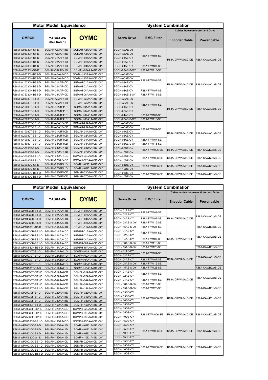|                    | <b>Motor Model Equivalence</b> |                    | <b>System Combination</b> |                       |                      |                                       |  |  |
|--------------------|--------------------------------|--------------------|---------------------------|-----------------------|----------------------|---------------------------------------|--|--|
|                    |                                |                    |                           |                       |                      | <b>Cables between Motor and Drive</b> |  |  |
| <b>OMRON</b>       | <b>YASKAWA</b><br>(See Note 1) | <b>OYMC</b>        | <b>Servo Drive</b>        | <b>EMC Filter</b>     | <b>Encoder Cable</b> | Power cable                           |  |  |
| R88M-W03030H-S1-D  | SGMAH-A3AAF41D                 | SGMAH-A3AAA41D-OY  | SGDH-A3AE-OY              |                       |                      |                                       |  |  |
| R88M-W05030H-S1-D  | SGMAH-A5AAF41D                 | SGMAH-A5AAA41D-OY  | SGDH-A5AE-OY              | R88A-FIW104-SE        |                      |                                       |  |  |
| R88M-W10030H-S1-D  | SGMAH-01AAF41D                 | SGMAH-01AAA41D-OY  | SGDH-01AE-OY              |                       | R88A-CRWA0xxC-DE     | R88A-CAWA0xxS-DE                      |  |  |
| R88M-W20030H-S1-D  | SGMAH-02AAF41D                 | SGMAH-02AAA41D-OY  | SGDH-02AE-OY              |                       |                      |                                       |  |  |
| R88M-W40030H-S1-D  | SGMAH-04AAF41D                 | SGMAH-04AAA41D-OY  | SGDH-04AE-OY              | R88A-FIW107-SE        |                      |                                       |  |  |
| R88M-W75030H-S1-D  | SGMAH-08AAF41D                 | SGMAH-08AAA41D-OY  | SGDH-08AE-S-OY            | R88A-FIW115-SE        |                      |                                       |  |  |
| R88M-W03030H-BS1-D | SGMAH-A3AAF4CD                 | SGMAH-A3AAA4CD-OY  | SGDH-A3AE-OY              |                       |                      |                                       |  |  |
| R88M-W05030H-BS1-D | SGMAH-A5AAF4CD                 | SGMAH-A5AAA4CD -OY | SGDH-A5AE-OY              |                       |                      |                                       |  |  |
| R88M-W10030H-BS1-D | SGMAH-01AAF4CD                 | SGMAH-01AAA4CD-OY  | SGDH-01AE-OY              | R88A-FIW104-SE        | R88A-CRWA0xxC-DE     | R88A-CAWA0xxB-DE                      |  |  |
| R88M-W20030H-BS1-D | SGMAH-02AAF4CD                 | SGMAH-02AAA4CD-OY  | SGDH-02AE-OY              |                       |                      |                                       |  |  |
| R88M-W40030H-BS1-D | SGMAH-04AAF4CD                 | SGMAH-04AAA4CD -OY | SGDH-04AE-OY              | R88A-FIW107-SE        |                      |                                       |  |  |
| R88M-W75030H-BS1-D | SGMAH-08AAF4CD                 | SGMAH-08AAA4CD -OY | SGDH-08AE-S-OY            | R88A-FIW115-SE        |                      |                                       |  |  |
| R88M-W03030T-S1-D  | SGMAH-A3A1F41D                 | SGMAH-A3A1A41D-OY  | SGDH-A3AE-OY              |                       |                      |                                       |  |  |
| R88M-W05030T-S1-D  | SGMAH-A5A1F41D                 | SGMAH-A5A1A41D-OY  | SGDH-A5AE-OY              | R88A-FIW104-SE        |                      |                                       |  |  |
| R88M-W10030T-S1-D  | SGMAH-01A1F41D                 | SGMAH-01A1A41D-OY  | SGDH-01AE-OY              |                       | R88A-CRWA0xxC-DE     | R88A-CAWA0xxS-DE                      |  |  |
| R88M-W20030T-S1-D  | SGMAH-02A1F41D                 | SGMAH-02A1A41D-OY  | SGDH-02AE-OY              |                       |                      |                                       |  |  |
| R88M-W40030T-S1-D  | SGMAH-04A1F41D                 | SGMAH-04A1A41D-OY  | SGDH-04AE-OY              | <b>R88A-FIW107-SE</b> |                      |                                       |  |  |
| R88M-W75030T-S1-D  | SGMAH-08A1F41D                 | SGMAH-08A1A41D-OY  | SGDH-08AE-S-OY            | R88A-FIW115-SE        |                      |                                       |  |  |
| R88M-W03030T-BS1-D | SGMAH-A3A1F4CD                 | SGMAH-A3A1A4CD-OY  | SGDH-A3AE-OY              |                       |                      |                                       |  |  |
| R88M-W05030T-BS1-D | SGMAH-A5A1F4CD                 | SGMAH-A5A1A4CD-OY  | SGDH-A5AE-OY              | R88A-FIW104-SE        |                      |                                       |  |  |
| R88M-W10030T-BS1-D | SGMAH-01A1F4CD                 | SGMAH-01A1A4CD-OY  | SGDH-01AE-OY              |                       | R88A-CRWA0xxC-DE     | R88A-CAWA0xxB-DE                      |  |  |
| R88M-W20030T-BS1-D | SGMAH-02A1F4CD                 | SGMAH-02A1A4CD-OY  | SGDH-02AE-OY              |                       |                      |                                       |  |  |
| R88M-W40030T-BS1-D | SGMAH-04A1F4CD                 | SGMAH-04A1A4CD-OY  | SGDH-04AE-OY              | R88A-FIW107-SE        |                      |                                       |  |  |
| R88M-W75030T-BS1-D | SGMAH-08A1F4CD                 | SGMAH-08A1A4CD -OY | SGDH-08AE-S-OY            | R88A-FIW115-SE        |                      |                                       |  |  |
| R88M-W30030F-S1-D  | SGMAH-03DAF41D                 | SGMAH-03DAA41D-OY  | SGDH-05DE-OY              | R88A-FIW4006-SE       | R88A-CRWA0xxC-DE     | R88A-CAWK0xxS-DE                      |  |  |
| R88M-W65030F-S1-D  | SGMAH-07DAF41D                 | SGMAH-07DAA41D-OY  | SGDH-10DE-OY              |                       |                      |                                       |  |  |
| R88M-W30030F-BS1-D | SGMAH-03DAF4CD                 | SGMAH-03DAA4CD-OY  | SGDH-05DE-OY              | R88A-FIW4006-SE       | R88A-CRWA0xxC-DE     | R88A-CAWK0xxB-DE                      |  |  |
| R88M-W65030F-BS1-D | SGMAH-07DAF4CD                 | SGMAH-07DAA4CD-OY  | SGDH-10DE-OY              |                       |                      |                                       |  |  |
| R88M-W30030C-S1-D  | SGMAH-03D1F41D                 | SGMAH-03D1A41D-OY  | SGDH-05DE-OY              | R88A-FIW4006-SE       | R88A-CRWA0xxC-DE     | R88A-CAWK0xxS-DE                      |  |  |
| R88M-W65030C-S1-D  | SGMAH-07D1F41D                 | SGMAH-07D1A41D-OY  | SGDH-10DE-OY              |                       |                      |                                       |  |  |
| R88M-W30030C-BS1-D | SGMAH-03D1F4CD                 | SGMAH-03D1A4CD-OY  | SGDH-05DE-OY              | R88A-FIW4006-SE       | R88A-CRWA0xxC-DE     | R88A-CAWK0xxB-DE                      |  |  |
| R88M-W65030C-BS1-D | SGMAH-07D1F4CD                 | SGMAH-07D1A4CD-OY  | SGDH-10DE-OY              |                       |                      |                                       |  |  |

|                     | <b>Motor Model Equivalence</b> |                    | <b>System Combination</b> |                    |                       |                      |                                             |  |  |
|---------------------|--------------------------------|--------------------|---------------------------|--------------------|-----------------------|----------------------|---------------------------------------------|--|--|
|                     |                                |                    |                           |                    |                       |                      | <b>Cable models between Motor and Drive</b> |  |  |
| <b>OMRON</b>        | YASKAWA                        | <b>OYMC</b>        |                           | <b>Servo Drive</b> | <b>EMC Filter</b>     | <b>Encoder Cable</b> | Power cable                                 |  |  |
| R88M-WP10030H-S1-D  | SGMPH-01AAA41D                 | SGMPH-01AAA41D-OY  |                           | SGDH-01AE-OY       | R88A-FIW104-SE        |                      |                                             |  |  |
| R88M-WP20030H-S1-D  | SGMPH-02AAA41D                 | SGMPH-02AAA41D-OY  |                           | SGDH-02AE-OY       |                       |                      | R88A-CAWA0xxS-DE                            |  |  |
| R88M-WP40030H-S1-D  | SGMPH-04AAA41D                 | SGMPH-04AAA41D-OY  |                           | SGDH-04AE-OY       | R88A-FIW107-SE        | R88A-CRWA0xxC-DE     |                                             |  |  |
| R88M-WP75030H-S1-D  | SGMPH-08AAA41D                 | SGMPH-08AAA41D-OY  |                           | SGDH-08AE-S-OY     | R88A-FIW115-SE        |                      |                                             |  |  |
| R88M-WP1K530H-S1-D  | SGMPH-15AAA41D                 | SGMPH-15AAA41D-OY  |                           | SGDH- 15AE-S-OY    | R88A-FIW125-SE        |                      | R88A-CAWB0xxS-DE                            |  |  |
| R88M-WP10030H-BS1-D | SGMPH-01AAA4CD                 | SGMPH-01AAA4CD-OY  |                           | SGDH-01AE-OY       | R88A-FIW104-SE        |                      |                                             |  |  |
| R88M-WP20030H-BS1-D | SGMPH-02AAA4CD                 | SGMPH-02AAA4CD -OY |                           | SGDH-02AE-OY       |                       |                      | R88A-CAWA0xxB-DE                            |  |  |
| R88M-WP40030H-BS1-D | SGMPH-04AAA4CD                 | SGMPH-04AAA4CD -OY |                           | SGDH-04AE-OY       | R88A-FIW107-SE        | R88A-CRWA0xxC-DE     |                                             |  |  |
| R88M-WP75030H-BS1-D | SGMPH-08AAA4CD                 | SGMPH-08AAA4CD -OY |                           | SGDH-08AE-S-OY     | R88A-FIW115-SE        |                      |                                             |  |  |
| R88M-WP1K530H-BS1-D | SGMPH-15AAA4CD                 | SGMPH-15AAA4CD-OY  |                           | SGDH-15AE-S-OY     | R88A-FIW125-SE        |                      | R88A-CAWB0xxB-DE                            |  |  |
| R88M-WP10030T-S1-D  | SGMPH-01A1A41D                 | SGMPH-01A1A41D-OY  |                           | SGDH-01AE-OY       | R88A-FIW104-SE        |                      |                                             |  |  |
| R88M-WP20030T-S1-D  | SGMPH-02A1A41D                 | SGMPH-02A1A41D-OY  |                           | SGDH-02AE-OY       |                       |                      | R88A-CAWA0xxS-DE                            |  |  |
| R88M-WP40030T-S1-D  | SGMPH-04A1A41D                 | SGMPH-04A1A41D-OY  |                           | SGDH-04AE-OY       | <b>R88A-FIW107-SE</b> | R88A-CRWA0xxC-DE     |                                             |  |  |
| R88M-WP75030T-S1-D  | SGMPH-08A1A41D                 | SGMPH-08A1A41D-OY  |                           | SGDH-08AE-S-OY     | <b>R88A-FIW115-SE</b> |                      |                                             |  |  |
| R88M-WP1K530T-S1-D  | SGMPH-15A1A41D                 | SGMPH-15A1A41D-OY  |                           | SGDH-15AE-S-OY     | R88A-FIW125-SE        |                      | R88A-CAWB0xxS-DE                            |  |  |
| R88M-WP10030T-BS1-D | SGMPH-01A1A4CD                 | SGMPH-01A1A4CD-OY  |                           | SGDH-01AE-OY       | R88A-FIW104-SE        |                      |                                             |  |  |
| R88M-WP20030T-BS1-D | SGMPH-02A1A4CD                 | SGMPH-02A1A4CD-OY  |                           | SGDH-02AE-OY       |                       |                      | R88A-CAWA0xxB-DE                            |  |  |
| R88M-WP40030T-BS1-D | SGMPH-04A1A4CD                 | SGMPH-04A1A4CD-OY  |                           | SGDH-04AE-OY       | R88A-FIW107-SE        | R88A-CRWA0xxC-DE     |                                             |  |  |
| R88M-WP75030T-BS1-D | SGMPH-08A1A4CD                 | SGMPH-08A1A4CD-OY  |                           | SGDH-08AE-S-OY     | R88A-FIW115-SE        |                      |                                             |  |  |
| R88M-WP1K530T-BS1-D | SGMPH-15A1A4CD                 | SGMPH-15A1A4CD-OY  |                           | SGDH-15AE-S-OY     | R88A-FIW125-SE        |                      | R88A-CAWB0xxB-DE                            |  |  |
| R88M-WP20030F-S1-D  | SGMPH-02DAA41D                 | SGMPH-02DAA41D-OY  |                           | SGDH-05DE-OY       |                       |                      |                                             |  |  |
| R88M-WP40030F-S1-D  | SGMPH-04DAA41D                 | SGMPH-04DAA41D-OY  |                           | SGDH-05DE-OY       | R88A-FIW4006-SE       | R88A-CRWA0xxC-DE     | R88A-CAWK0xxS-DE                            |  |  |
| R88M-WP75030F-S1-D  | SGMPH-08DAA41D                 | SGMPH-08DAA41D-OY  |                           | SGDH-10DE-OY       |                       |                      |                                             |  |  |
| R88M-WP1K530F-S1-D  | SGMPH-15DAA41D                 | SGMPH-15DAA41D-OY  |                           | SGDH-15DE-OY       |                       |                      |                                             |  |  |
| R88M-WP20030F-BS1-D | SGMPH-02DAA4CD                 | SGMPH-02DAA4CD -OY |                           | SGDH-05DE-OY       |                       |                      |                                             |  |  |
| R88M-WP40030F-BS1-D | SGMPH-04DAA4CD                 | SGMPH-04DAA4CD-OY  |                           | SGDH-05DE-OY       | R88A-FIW4006-SE       | R88A-CRWA0xxC-DE     | R88A-CAWK0xxB-DE                            |  |  |
| R88M-WP75030F-BS1-D | SGMPH-08DAA4CD                 | SGMPH-08DAA4CD -OY |                           | SGDH-10DE-OY       |                       |                      |                                             |  |  |
| R88M-WP1K530F-BS1-D | SGMPH-15DAA4CD                 | SGMPH-15DAA4CD-OY  |                           | SGDH-15DE-OY       |                       |                      |                                             |  |  |
| R88M-WP20030C-S1-D  | SGMPH-02D1A41D                 | SGMPH-02D1A41D-OY  |                           | SGDH-05DE-OY       |                       |                      |                                             |  |  |
| R88M-WP40030C-S1-D  | SGMPH-04D1A41D                 | SGMPH-04D1A41D-OY  |                           | SGDH-05DE-OY       | R88A-FIW4006-SE       | R88A-CRWA0xxC-DE     | R88A-CAWK0xxS-DE                            |  |  |
| R88M-WP75030C-S1-D  | SGMPH-08D1A41D                 | SGMPH-08D1A41D-OY  |                           | SGDH-10DE-OY       |                       |                      |                                             |  |  |
| R88M-WP1K530C-S1-D  | SGMPH-15D1A41D                 | SGMPH-15D1A41D-OY  |                           | SGDH-15DE-OY       |                       |                      |                                             |  |  |
| R88M-WP20030C-BS1-D | SGMPH-02D1A4CD                 | SGMPH-02D1A4CD-OY  |                           | SGDH-05DE-OY       |                       |                      |                                             |  |  |
| R88M-WP40030C-BS1-D | SGMPH-04D1A4CD                 | SGMPH-04D1A4CD-OY  |                           | SGDH-05DE-OY       | R88A-FIW4006-SE       | R88A-CRWA0xxC-DE     | R88A-CAWK0xxB-DE                            |  |  |
| R88M-WP75030C-BS1-D | SGMPH-08D1A4CD                 | SGMPH-08D1A4CD-OY  |                           | SGDH-10DE-OY       |                       |                      |                                             |  |  |
| R88M-WP1K530C-BS1-D | SGMPH-15D1A4CD                 | SGMPH-15D1A4CD-OY  |                           | SGDH-15DE-OY       |                       |                      |                                             |  |  |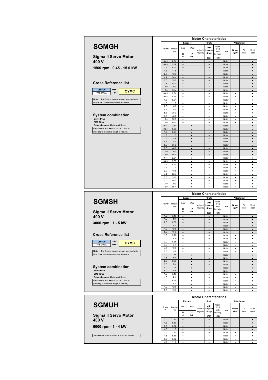|                                                | <b>Motor Characteristics</b> |              |                        |                  |                   |                              |                       |                  |                        |                   |                |  |
|------------------------------------------------|------------------------------|--------------|------------------------|------------------|-------------------|------------------------------|-----------------------|------------------|------------------------|-------------------|----------------|--|
|                                                |                              |              |                        | Encoder          |                   | Shaft                        |                       |                  |                        | <b>Attachment</b> |                |  |
| <b>SGMGH</b>                                   | Power<br>W                   | Torque<br>Nm | <b>INC</b><br>17       | <b>ABS</b><br>17 | without<br>keyway | with<br>keyway<br>& tap      | taper<br>1/10<br>with | no               | <b>Brake</b><br>$+24V$ | Oil<br>-seal      | Dust<br>-seal  |  |
| <b>Sigma II Servo Motor</b>                    |                              |              | bit                    | bit              |                   | (S2)                         | keyway<br>(S4)        |                  |                        |                   |                |  |
| 400 V                                          | 0.45                         | 2.84         | $\bullet$              |                  |                   | $\bullet$                    |                       | Note 1           |                        |                   | $\bullet$      |  |
|                                                | 0.85                         | 5.39         | $\bullet$              |                  |                   | $\bullet$                    |                       | Note 1           |                        |                   | $\bullet$      |  |
| 1500 rpm · 0.45 - 15.0 kW                      | 1.3                          | 8.34         | $\bullet$              |                  |                   | $\bullet$                    |                       | Note 1           |                        |                   | $\bullet$      |  |
|                                                | 1.8                          | 11.5         | $\bullet$              |                  |                   | $\bullet$                    |                       | Note 1           |                        |                   | $\bullet$      |  |
|                                                | 2.9                          | 18.6         | $\bullet$              |                  |                   | $\bullet$                    |                       | Note 1           |                        |                   | $\bullet$      |  |
|                                                | 4.4                          | 28.4         | $\bullet$              |                  |                   | $\bullet$                    |                       | Note 1           |                        |                   | $\bullet$      |  |
| <b>Cross Reference list</b>                    | 5.5                          | 35.0         | $\bullet$              |                  |                   | $\bullet$                    |                       | Note 1           |                        |                   | $\bullet$      |  |
|                                                | 7.5                          | 48.0         | $\bullet$              |                  |                   | $\bullet$                    |                       | Note 1           |                        |                   | $\bullet$      |  |
|                                                | 11.0                         | 70.0         | $\bullet$              |                  |                   | $\bullet$                    |                       | Note 1           |                        |                   | $\bullet$      |  |
| <b>OMRON</b><br><b>OYMC</b><br>YASKAWA         | 15.0                         | 95.4         | $\bullet$              |                  |                   | $\bullet$                    |                       | Note 1           |                        |                   | $\bullet$      |  |
|                                                | 0.45                         | 2.84         | $\bullet$              |                  |                   | ٠                            |                       | Note 1           | ٠                      |                   | ٠              |  |
| Note 1: The Omron motors are not provided with | 0.85                         | 5.39         | $\bullet$              |                  |                   | $\bullet$                    |                       | Note 1           | $\bullet$              |                   | ٠              |  |
| Dust Seal. All dimensions are the same         | 1.3<br>1.8                   | 8.34<br>11.5 | $\bullet$<br>$\bullet$ |                  |                   | ٠<br>$\bullet$               |                       | Note 1<br>Note 1 | $\bullet$<br>$\bullet$ |                   | ٠<br>$\bullet$ |  |
|                                                | 2.9                          | 18.6         | ٠                      |                  |                   | ٠                            |                       | Note 1           | ٠                      |                   | ٠              |  |
|                                                | 4.4                          | 28.4         | $\bullet$              |                  |                   | $\bullet$                    |                       | Note 1           | $\bullet$              |                   | ٠              |  |
|                                                | 5.5                          | 35.0         | $\bullet$              |                  |                   | $\bullet$                    |                       | Note 1           | ٠                      |                   | ٠              |  |
| <b>System combination</b>                      | 7.5                          | 48.0         | $\bullet$              |                  |                   | ٠                            |                       | Note 1           | ٠                      |                   | ۰              |  |
| · Servo Drive                                  | 11.0                         | 70.0         | $\bullet$              |                  |                   | $\bullet$                    |                       | Note 1           | $\bullet$              |                   | $\bullet$      |  |
| · EMC Filter                                   | 15.0                         | 95.4         | $\bullet$              |                  |                   | ٠                            |                       | Note 1           | ٠                      |                   | ٠              |  |
| Cables between Motor and Drive                 | 0.45                         | 2.84         |                        | $\bullet$        |                   | $\bullet$                    |                       | Note 1           |                        |                   | ٠              |  |
| Please note that xx=03, 05, 10, 15 or 20       | 0.85                         | 5.39         |                        | $\bullet$        |                   | ٠                            |                       | Note 1           |                        |                   | $\bullet$      |  |
| (refering to the cable length in meters)       | 1.3                          | 8.34         |                        | $\bullet$        |                   | $\bullet$                    |                       | Note 1           |                        |                   | $\bullet$      |  |
|                                                | 1.8                          | 11.5         |                        | $\bullet$        |                   | $\bullet$                    |                       | Note 1           |                        |                   | $\bullet$      |  |
|                                                | 2.9                          | 18.6         |                        | $\bullet$        |                   | $\bullet$                    |                       | Note 1           |                        |                   | $\bullet$      |  |
|                                                | 4.4                          | 28.4         |                        | $\bullet$        |                   | $\bullet$                    |                       | Note 1           |                        |                   | $\bullet$      |  |
|                                                | 5.5                          | 35.0         |                        | $\bullet$        |                   | $\bullet$                    |                       | Note 1           |                        |                   | $\bullet$      |  |
|                                                | 7.5                          | 48.0         |                        |                  |                   | $\bullet$                    |                       | Note 1           |                        |                   | $\bullet$      |  |
|                                                | 11.0                         | 70.0         |                        | $\bullet$        |                   | $\bullet$                    |                       | Note 1           |                        |                   | $\bullet$      |  |
|                                                | 15.0                         | 95.4         |                        | ٠                |                   | $\bullet$                    |                       | Note 1           |                        |                   | $\bullet$      |  |
|                                                | 0.45                         | 2.84         |                        | $\bullet$        |                   | $\bullet$                    |                       | Note 1           | ٠                      |                   | ٠              |  |
|                                                | 0.85                         | 5.39         |                        | $\bullet$        |                   | ٠                            |                       | Note 1           | $\bullet$              |                   | $\bullet$      |  |
|                                                | 1.3                          | 8.34         |                        | ٠                |                   | ٠                            |                       | Note 1           | ٠                      |                   | ٠              |  |
|                                                | 1.8                          | 11.5         |                        | ٠                |                   | $\bullet$                    |                       | Note 1           | ٠                      |                   | ٠              |  |
|                                                | 2.9                          | 18.6         |                        | $\bullet$        |                   | $\bullet$                    |                       | Note 1           | ٠                      |                   | ٠              |  |
|                                                | 4.4                          | 28.4         |                        | ٠                |                   | ٠                            |                       | Note 1           | ٠                      |                   | ٠              |  |
|                                                | 5.5                          | 35.0         |                        | $\bullet$        |                   | $\bullet$                    |                       | Note 1           | $\bullet$              |                   | $\bullet$      |  |
|                                                | 7.5                          | 48.0         |                        | ٠                |                   | ٠                            |                       | Note 1           | ٠                      |                   | ٠              |  |
|                                                | 11.0<br>15.0                 | 70.0<br>95.4 |                        | $\bullet$        |                   | $\bullet$                    |                       | Note 1<br>Note 1 | $\bullet$              |                   | ٠              |  |
|                                                |                              |              |                        | $\bullet$        |                   | $\bullet$                    |                       |                  | ٠                      |                   | $\bullet$      |  |
|                                                |                              |              |                        |                  |                   | <b>Motor Characteristics</b> |                       |                  |                        |                   |                |  |
|                                                |                              |              |                        | Encoder          |                   | <b>Shaft</b>                 |                       |                  |                        | <b>Attachment</b> |                |  |
| <b>SGMSH</b>                                   |                              |              |                        |                  |                   |                              | taper                 |                  |                        |                   |                |  |
|                                                | Power<br>W                   | Torque<br>Nm | <b>INC</b>             | <b>ABS</b>       | without           | with<br>keyway               | 1/10<br>with          | no               | <b>Brake</b><br>$+24V$ | Oil<br>-seal      | Dust<br>-seal  |  |
| <b>Sigma II Servo Motor</b>                    |                              |              | 17<br>bit              | 17<br>bit        | keyway            | & tap<br>(S2)                | keyway<br>(S4)        |                  |                        |                   |                |  |
|                                                |                              |              |                        |                  |                   |                              |                       |                  |                        |                   |                |  |

| Sigma II Servo Mot |  |  |
|--------------------|--|--|
| 400 V              |  |  |

#### **Cross Reference list**



#### **System combination**

|                                                |     |      | 17        | 17        | <b>Reyway</b> | α ιαμ     | keyway |        | <b>TZ4V</b> | -эса | -эса      |
|------------------------------------------------|-----|------|-----------|-----------|---------------|-----------|--------|--------|-------------|------|-----------|
| <b>Sigma II Servo Motor</b>                    |     |      | bit       | bit       |               | (S2)      | (S4)   |        |             |      |           |
| 400 V                                          | 1.0 | 3.18 | $\bullet$ |           |               | ٠         |        | Note 1 |             |      | $\bullet$ |
|                                                | 1.5 | 4.9  | ٠         |           |               | ٠         |        | Note 1 |             |      |           |
| 3000 rpm $\cdot$ 1 - 5 kW                      | 2.0 | 6.36 | $\bullet$ |           |               | $\bullet$ |        | Note 1 |             |      | $\bullet$ |
|                                                | 3.0 | 9.8  | $\bullet$ |           |               | ٠         |        | Note 1 |             |      | $\bullet$ |
|                                                | 4.0 | 12.6 | $\bullet$ |           |               | ٠         |        | Note 1 |             |      | $\bullet$ |
|                                                | 5.0 | 15.8 | $\bullet$ |           |               | ٠         |        | Note 1 |             |      | $\bullet$ |
| <b>Cross Reference list</b>                    | 1.0 | 3.18 | ٠         |           |               | ٠         |        | Note 1 | ٠           |      | $\bullet$ |
|                                                | 1.5 | 4.9  | ٠         |           |               | ٠         |        | Note 1 | ٠           |      | ٠         |
| <b>OMRON</b><br>$\rightarrow$<br><b>OYMC</b>   | 2.0 | 6.36 | ٠         |           |               | ٠         |        | Note 1 | ٠           |      | ٠         |
| $\rightarrow$<br>YASKAWA                       | 3.0 | 9.8  | ٠         |           |               | ٠         |        | Note 1 | ٠           |      | $\bullet$ |
|                                                | 4.0 | 12.6 | ٠         |           |               | ٠         |        | Note 1 | ٠           |      | ٠         |
| Note 1: The Omron motors are not provided with | 5.0 | 15.8 | ٠         |           |               | ٠         |        | Note 1 | ٠           |      | $\bullet$ |
| Dust Seal. All dimensions are the same         | 1.0 | 3.18 |           | $\bullet$ |               | ٠         |        | Note 1 |             |      | $\bullet$ |
|                                                | 1.5 | 4.9  |           | $\bullet$ |               | ٠         |        | Note 1 |             |      | $\bullet$ |
|                                                | 2.0 | 6.36 |           | $\bullet$ |               | ٠         |        | Note 1 |             |      | $\bullet$ |
|                                                | 3.0 | 9.8  |           | $\bullet$ |               | $\bullet$ |        | Note 1 |             |      | $\bullet$ |
| <b>System combination</b>                      | 4.0 | 12.6 |           | $\bullet$ |               | ٠         |        | Note 1 |             |      | $\bullet$ |
| <b>Servo Drive</b>                             | 5.0 | 15.8 |           | $\bullet$ |               |           |        | Note 1 |             |      | $\bullet$ |
| <b>EMC Filter</b>                              | 1.0 | 3.18 |           | ٠         |               | ٠         |        | Note 1 | ٠           |      | ٠         |
| <b>Cables between Motor and Drive</b>          | 1.5 | 4.9  |           | ٠         |               | ٠         |        | Note 1 | ٠           |      | $\bullet$ |
| Please note that xx=03, 05, 10, 15 or 20       | 2.0 | 6.36 |           | ٠         |               | ٠         |        | Note 1 | ٠           |      | ٠         |
| (refering to the cable length in meters)       | 3.0 | 9.8  |           | ٠         |               | ٠         |        | Note 1 | ٠           |      | $\bullet$ |
|                                                | 4.0 | 12.6 |           | ٠         |               | ٠         |        | Note 1 | ٠           |      | ٠         |
|                                                | 5.0 | 15.8 |           | $\bullet$ |               | ٠         |        | Note 1 | ٠           |      | ٠         |
|                                                |     |      |           |           |               |           |        |        |             |      |           |
|                                                |     |      |           |           |               |           |        |        |             |      |           |

|                                      |            | <b>Motor Characteristics</b> |            |           |         |                |                       |        |              |                   |           |  |
|--------------------------------------|------------|------------------------------|------------|-----------|---------|----------------|-----------------------|--------|--------------|-------------------|-----------|--|
|                                      |            |                              |            | Encoder   |         | Shaft          |                       |        |              | <b>Attachment</b> |           |  |
| <b>SGMUH</b>                         | Power<br>w | Torque<br>N <sub>m</sub>     | <b>INC</b> | ABS       | without | with<br>keyway | taper<br>1/10<br>with | no     | <b>Brake</b> | Oil               | Dust      |  |
| <b>Sigma II Servo Motor</b>          |            |                              | 17<br>bit  | 17<br>bit | keyway  | & tap<br>(S2)  | keyway<br>(S4)        |        | $+24V$       | -seal             | -seal     |  |
| 400 V                                | 1.0        | 2.84                         |            |           |         |                |                       | Note 1 |              |                   | $\bullet$ |  |
|                                      | 1.5        | 5.68                         |            |           |         |                |                       | Note 1 |              |                   | $\bullet$ |  |
| 6000 rpm $\cdot$ 1 - 4 kW            | 3.0        | 8.62                         |            |           |         |                |                       | Note 1 |              |                   | $\bullet$ |  |
|                                      | 4.0        | 11.5                         | $\bullet$  |           |         |                |                       | Note 1 |              |                   | $\bullet$ |  |
|                                      | 1.0        | 2.84                         | $\bullet$  |           |         | ٠              |                       | Note 1 | $\bullet$    |                   | ٠         |  |
| Same notes than SGMGH & SGMSH Models | 1.5        | 5.68                         | $\bullet$  |           |         | ٠              |                       | Note 1 |              |                   | ٠         |  |
|                                      | 3.0        | 8.62                         | $\bullet$  |           |         | ٠              |                       | Note 1 | ٠            |                   | ٠         |  |
|                                      | 4.0        | 11.5                         |            |           |         |                |                       | Note 1 |              |                   |           |  |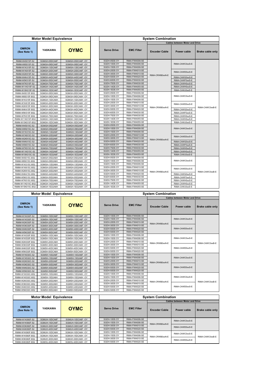|                              | <b>Motor Model Equivalence</b> |                   | <b>System Combination</b> |                   |                      |                                       |                         |  |  |  |  |
|------------------------------|--------------------------------|-------------------|---------------------------|-------------------|----------------------|---------------------------------------|-------------------------|--|--|--|--|
|                              |                                |                   |                           |                   |                      | <b>Cables between Motor and Drive</b> |                         |  |  |  |  |
| <b>OMRON</b><br>(See Note 1) | <b>YASKAWA</b>                 | <b>OYMC</b>       | <b>Servo Drive</b>        | <b>EMC Filter</b> | <b>Encoder Cable</b> | <b>Power cable</b>                    | <b>Brake cable only</b> |  |  |  |  |
| R88M-W45015F-S2              | SGMGH-05DCA6F                  | SGMGH-05DCA6F-OY  | SGDH-05DE-OY              | R88A-FIW4006-SE   |                      |                                       |                         |  |  |  |  |
| R88M-W85015F-S2              | SGMGH-09DCA6F                  | SGMGH-09DCA6F-OY  | SGDH-10DE-OY              | R88A-FIW4006-SE   |                      | R88A-CAWC0xxS-E                       |                         |  |  |  |  |
| R88M-W1K315F-S2              | SGMGH-13DCA6F                  | SGMGH-13DCA6F-OY  | SGDH-15DE-OY              | R88A-FIW4006-SE   |                      |                                       |                         |  |  |  |  |
| R88M-W1K815F-S2              | SGMGH-20DCA6F                  | SGMGH-20DCA6F-OY  | SGDH-20DE-OY              | R88A-FIW4010-SE   |                      | R88A-CAWD0xxS-E                       |                         |  |  |  |  |
| R88M-W2K915F-S2              | SGMGH-30DCA6F                  | SGMGH-30DCA6F-OY  | SGDH-30DE-OY              | R88A-FIW4010-SE   | R88A-CRWB0xxN-E      |                                       |                         |  |  |  |  |
| R88M-W4K415F-S2              | SGMGH-44DCA6F                  | SGMGH-44DCA6F-OY  | SGDH-50DE-OY              | R88A-FIW4020-SE   |                      | R88A-CAWG0xxS-E                       |                         |  |  |  |  |
| R88M-W5K515F-S2              | SGMGH-55DCA6F                  | SGMGH-55DCA6F-OY  | SGDH-60DE-OY              | R88A-FIW4030-SE   |                      | R88A-CAWF0xxS-E                       |                         |  |  |  |  |
| R88M-W7K515F-S2              | SGMGH-75DCA6F                  | SGMGH-75DCA6F-OY  | SGDH-75DE-OY              | R88A-FIW4030-SE   |                      | R88A-CAWH0xxS-E                       |                         |  |  |  |  |
| R88M-W11K015F-S2             | SGMGH-1ADCA6F                  | SGMGH-1ADCA6F-OY  | SGDH-1ADE-OY              | R88A-FIW4055-SE   |                      | R88A-CAWH0xxS-E                       |                         |  |  |  |  |
| R88M-W15K015F-S2             | SGMGH-1EDCA6F                  | SGMGH-1EDCA6F-OY  | SGDH-1EDE-OY              | R88A-FIW4055-SE   |                      | R88A-CAWJ0xxS-E                       |                         |  |  |  |  |
| R88M-W45015F-BS2             | SGMGH-05DCA6H                  | SGMGH-05DCA6H-OY  | SGDH-05DE-OY              | R88A-FIW4006-SE   |                      |                                       |                         |  |  |  |  |
| R88M-W85015F-BS2             | SGMGH-09DCA6H                  | SGMGH-09DCA6H -OY | SGDH-10DE-OY              | R88A-FIW4006-SE   |                      | R88A-CAWC0xxS-E                       |                         |  |  |  |  |
| R88M-W1K315F-BS2             | SGMGH-13DCA6H                  | SGMGH-13DCA6H -OY | SGDH-15DE-OY              | R88A-FIW4006-SE   |                      |                                       |                         |  |  |  |  |
| R88M-W1K815F-BS2             | SGMGH-20DCA6H                  | SGMGH-20DCA6H -OY | SGDH-20DE-OY              | R88A-FIW4010-SE   |                      | R88A-CAWD0xxS-E                       |                         |  |  |  |  |
| R88M-W2K915F-BS2             | SGMGH-30DCA6H                  | SGMGH-30DCA6H -OY | SGDH-30DE-OY              | R88A-FIW4010-SE   | R88A-CRWB0xxN-E      |                                       | R88A-CAWC0xxB-E         |  |  |  |  |
| R88M-W4K415F-BS2             | SGMGH-44DCA6H                  | SGMGH-44DCA6H -OY | SGDH-50DE-OY              | R88A-FIW4020-SE   |                      | R88A-CAWG0xxS-E                       |                         |  |  |  |  |
| R88M-W5K515F-BS2             | SGMGH-55DCA6H                  | SGMGH-55DCA6H-OY  | SGDH-60DE-OY              | R88A-FIW4030-SE   |                      | R88A-CAWF0xxS-E                       |                         |  |  |  |  |
| R88M-W7K515F-BS2             | SGMGH-75DCA6H                  | SGMGH-75DCA6H -OY | SGDH-75DE-OY              | R88A-FIW4030-SE   |                      | R88A-CAWH0xxS-E                       |                         |  |  |  |  |
| R88M-W11K015F-BS2            | SGMGH-1ADCA6H                  | SGMGH-1ADCA6H-OY  | SGDH-1ADE-OY              | R88A-FIW4055-SE   |                      | R88A-CAWH0xxS-E                       |                         |  |  |  |  |
| R88M-W15K015F-BS2            | SGMGH-1EDCA6H                  | SGMGH-1EDCA6H-OY  | SGDH-1EDE-OY              | R88A-FIW4055-SE   |                      | R88A-CAWJ0xxS-E                       |                         |  |  |  |  |
| R88M-W45015C-S2              | SGMGH-05D2A6F                  | SGMGH-05D2A6F-OY  | SGDH-05DE-OY              | R88A-FIW4006-SE   |                      |                                       |                         |  |  |  |  |
| R88M-W85015C-S2              | SGMGH-09D2A6F                  | SGMGH-09D2A6F-OY  | SGDH-10DE-OY              | R88A-FIW4006-SE   |                      | R88A-CAWC0xxS-E                       |                         |  |  |  |  |
| R88M-W1K315C-S2              | SGMGH-13D2A6F                  | SGMGH-13D2A6F-OY  | SGDH-15DE-OY              | R88A-FIW4006-SE   |                      |                                       |                         |  |  |  |  |
| R88M-W1K815C-S2              | SGMGH-20D2A6F                  | SGMGH-20D2A6F -OY | SGDH-20DE-OY              | R88A-FIW4010-SE   |                      | R88A-CAWD0xxS-E                       |                         |  |  |  |  |
| R88M-W2K915C-S2              | SGMGH-30D2A6F                  | SGMGH-30D2A6F-OY  | SGDH-30DE-OY              | R88A-FIW4010-SE   | R88A-CRWB0xxN-E      |                                       |                         |  |  |  |  |
| R88M-W4K415C-S2              | SGMGH-44D2A6F                  | SGMGH-44D2A6F-OY  | SGDH-50DE-OY              | R88A-FIW4020-SE   |                      | R88A-CAWG0xxS-E                       |                         |  |  |  |  |
| R88M-W5K515C-S2              | SGMGH-55D2A6F                  | SGMGH-55D2A6F-OY  | SGDH-60DE-OY              | R88A-FIW4030-SE   |                      | R88A-CAWF0xxS-E                       |                         |  |  |  |  |
| R88M-W7K515C-S2              | SGMGH-75D2A6F                  | SGMGH-75D2A6F-OY  | SGDH-75DE-OY              | R88A-FIW4030-SE   |                      | R88A-CAWH0xxS-E                       |                         |  |  |  |  |
| R88M-W11K015C-S2             | SGMGH-1AD2A6F                  | SGMGH-1AD2A6F-OY  | SGDH-1ADE-OY              | R88A-FIW4055-SE   |                      | R88A-CAWH0xxS-E                       |                         |  |  |  |  |
| R88M-W15K015C-S2             | SGMGH-1ED2A6F                  | SGMGH-1ED2A6F-OY  | SGDH-1EDE-OY              | R88A-FIW4055-SE   |                      | R88A-CAWJ0xxS-E                       |                         |  |  |  |  |
| R88M-W45015C-BS2             | SGMGH-05D2A6H                  | SGMGH-05D2A6H -OY | SGDH-05DE-OY              | R88A-FIW4006-SE   |                      |                                       |                         |  |  |  |  |
| R88M-W85015C-BS2             | SGMGH-09D2A6H                  | SGMGH-09D2A6H -OY | SGDH-10DE-OY              | R88A-FIW4006-SE   |                      | R88A-CAWC0xxS-E                       |                         |  |  |  |  |
| R88M-W1K315C-BS2             | SGMGH-13D2A6H                  | SGMGH-13D2A6H-OY  | SGDH-15DE-OY              | R88A-FIW4006-SE   |                      |                                       |                         |  |  |  |  |
| R88M-W1K815C-BS2             | SGMGH-20D2A6H                  | SGMGH-20D2A6H -OY | SGDH-20DE-OY              | R88A-FIW4010-SE   |                      | R88A-CAWD0xxS-E                       |                         |  |  |  |  |
| R88M-W2K915C-BS2             | SGMGH-30D2A6H                  | SGMGH-30D2A6H -OY | SGDH-30DE-OY              | R88A-FIW4010-SE   | R88A-CRWB0xxN-E      |                                       | R88A-CAWC0xxB-E         |  |  |  |  |
| R88M-W4K415C-BS2             | SGMGH-44D2A6H                  | SGMGH-44D2A6H -OY | SGDH-50DE-OY              | R88A-FIW4020-SE   |                      | R88A-CAWG0xxS-E                       |                         |  |  |  |  |
| R88M-W5K515C-BS2             | SGMGH-55D2A6H                  | SGMGH-55D2A6H -OY | SGDH-60DE-OY              | R88A-FIW4030-SE   |                      | R88A-CAWF0xxS-E                       |                         |  |  |  |  |
| R88M-W7K515C-BS2             | SGMGH-75D2A6H                  | SGMGH-75D2A6H -OY | SGDH-75DE-OY              | R88A-FIW4030-SE   |                      | R88A-CAWH0xxS-E                       |                         |  |  |  |  |
| R88M-W11K015C-BS2            | SGMGH-1AD2A6H                  | SGMGH-1AD2A6H -OY | SGDH-1ADE-OY              | R88A-FIW4055-SE   |                      | R88A-CAWH0xxS-E                       |                         |  |  |  |  |
| R88M-W15K015C-BS2            | SGMGH-1ED2A6H                  | SGMGH-1ED2A6H-OY  | SGDH-1EDE-OY              | R88A-FIW4055-SE   |                      | R88A-CAWJ0xxS-E                       |                         |  |  |  |  |

| <b>Motor Model Equivalence</b> |                |                   | <b>System Combination</b> |                   |                      |                                       |                         |  |
|--------------------------------|----------------|-------------------|---------------------------|-------------------|----------------------|---------------------------------------|-------------------------|--|
|                                |                |                   |                           |                   |                      | <b>Cables between Motor and Drive</b> |                         |  |
| <b>OMRON</b><br>(See Note 1)   | <b>YASKAWA</b> | <b>OYMC</b>       | <b>Servo Drive</b>        | <b>EMC Filter</b> | <b>Encoder Cable</b> | Power cable                           | <b>Brake cable only</b> |  |
| R88M-W1K030F-S2                | SGMSH-10DCA6F  | SGMSH-10DCA6F-OY  | SGDH-10DE-OY              | R88A-FIW4006-SE   |                      |                                       |                         |  |
| R88M-W1K530F-S2                | SGMSH-15DCA6F  | SGMSH-15DCA6F-OY  | SGDH-15DE-OY              | R88A-FIW4006-SE   |                      | R88A-CAWC0xxS-E                       |                         |  |
| R88M-W2K030F-S2                | SGMSH-20DCA6F  | SGMSH-20DCA6F-OY  | SGDH-20DE-OY              | R88A-FIW4010-SE   |                      |                                       |                         |  |
| R88M-W3K030F-S2                | SGMSH-30DCA6F  | SGMSH-30DCA6F-OY  | SGDH-30DE-OY              | R88A-FIW4010-SE   | R88A-CRWB0xxN-E      |                                       |                         |  |
| R88M-W4K030F-S2                | SGMSH-40DCA6F  | SGMSH-40DCA6F-OY  | SGDH-50DE-OY              | R88A-FIW4020-SE   |                      | R88A-CAWD0xxS-E                       |                         |  |
| R88M-W5K030F-S2                | SGMSH-50DCA6F  | SGMSH-50DCA6F-OY  | SGDH-50DE-OY              | R88A-FIW4020-SE   |                      |                                       |                         |  |
| R88M-W1K030F-BS2               | SGMSH-10DCA6H  | SGMSH-10DCA6H-OY  | SGDH-10DE-OY              | R88A-FIW4006-SE   |                      |                                       |                         |  |
| R88M-W1K530F-BS2               | SGMSH-15DCA6H  | SGMSH-15DCA6H-OY  | SGDH-15DE-OY              | R88A-FIW4006-SF   |                      | R88A-CAWC0xxS-E                       |                         |  |
| R88M-W2K030F-BS2               | SGMSH-20DCA6H  | SGMSH-20DCA6H -OY | SGDH-20DE-OY              | R88A-FIW4010-SE   | R88A-CRWB0xxN-E      |                                       | R88A-CAWC0xxB-E         |  |
| R88M-W3K030F-BS2               | SGMSH-30DCA6H  | SGMSH-30DCA6H-OY  | SGDH-30DE-OY              | R88A-FIW4010-SE   |                      | R88A-CAWD0xxS-E                       |                         |  |
| R88M-W4K030F-BS2               | SGMSH-40DCA6H  | SGMSH-40DCA6H-OY  | SGDH-50DE-OY              | R88A-FIW4020-SE   |                      |                                       |                         |  |
| R88M-W5K030F-BS2               | SGMSH-50DCA6H  | SGMSH-50DCA6H-OY  | SGDH-50DE-OY              | R88A-FIW4020-SE   |                      |                                       |                         |  |
| R88M-W1K030C-S2                | SGMSH-10D2A6F  | SGMSH-10D2A6F-OY  | SGDH-10DE-OY              | R88A-FIW4006-SE   |                      |                                       |                         |  |
| R88M-W1K530C-S2                | SGMSH-15D2A6F  | SGMSH-15D2A6F-OY  | SGDH-15DE-OY              | R88A-FIW4006-SE   |                      | R88A-CAWC0xxS-E                       |                         |  |
| R88M-W2K030C-S2                | SGMSH-20D2A6F  | SGMSH-20D2A6F-OY  | SGDH-20DE-OY              | R88A-FIW4010-SE   | R88A-CRWB0xxN-F      |                                       |                         |  |
| R88M-W3K030C-S2                | SGMSH-30D2A6F  | SGMSH-30D2A6F-OY  | SGDH-30DE-OY              | R88A-FIW4010-SF   |                      |                                       |                         |  |
| R88M-W4K030C-S2                | SGMSH-40D2A6F  | SGMSH-40D2A6F-OY  | SGDH-50DE-OY              | R88A-FIW4020-SE   |                      | R88A-CAWD0xxS-E                       |                         |  |
| R88M-W5K030C-S2                | SGMSH-50D2A6F  | SGMSH-50D2A6F-OY  | SGDH-50DE-OY              | R88A-FIW4020-SE   |                      |                                       |                         |  |
| R88M-W1K030C-BS2               | SGMSH-10D2A6H  | SGMSH-10D2A6H -OY | SGDH-10DE-OY              | R88A-FIW4006-SE   |                      |                                       |                         |  |
| R88M-W1K530C-BS2               | SGMSH-15D2A6H  | SGMSH-15D2A6H -OY | SGDH-15DE-OY              | R88A-FIW4006-SE   |                      | R88A-CAWC0xxS-E                       |                         |  |
| R88M-W2K030C-BS2               | SGMSH-20D2A6H  | SGMSH-20D2A6H -OY | SGDH-20DE-OY              | R88A-FIW4010-SE   | R88A-CRWB0xxN-F      |                                       | R88A-CAWC0xxB-E         |  |
| R88M-W3K030C-BS2               | SGMSH-30D2A6H  | SGMSH-30D2A6H -OY | SGDH-30DE-OY              | R88A-FIW4010-SE   |                      |                                       |                         |  |
| R88M-W4K030C-BS2               | SGMSH-40D2A6H  | SGMSH-40D2A6H -OY | SGDH-50DE-OY              | R88A-FIW4020-SE   |                      | R88A-CAWD0xxS-E                       |                         |  |
| R88M-W5K030C-BS2               | SGMSH-50D2A6H  | SGMSH-50D2A6H-OY  | SGDH-50DE-OY              | R88A-FIW4020-SE   |                      |                                       |                         |  |

| <b>Motor Model Equivalence</b> |                |                   | <b>System Combination</b>       |                   |                      |                                       |                         |
|--------------------------------|----------------|-------------------|---------------------------------|-------------------|----------------------|---------------------------------------|-------------------------|
|                                |                |                   |                                 |                   |                      | <b>Cables between Motor and Drive</b> |                         |
| <b>OMRON</b><br>(See Note 1)   | <b>YASKAWA</b> | <b>OYMC</b>       | <b>Servo Drive</b>              | <b>EMC Filter</b> | <b>Encoder Cable</b> | Power cable                           | <b>Brake cable only</b> |
| R88M-W1K060F-S2                | SGMUH-10DCA6F  | SGMUH-10DCA6F-OY  | SGDH-10DE-OY                    | R88A-FIW4006-SE   |                      | R88A-CAWC0xxS-E                       |                         |
| R88M-W1K560F-S2                | SGMUH-15DCA6F  | SGMUH-15DCA6F-OY  | SGDH-15DE-OY                    | R88A-FIW4006-SE   | R88A-CRWB0xxN-E      |                                       |                         |
| R88M-W3K060F-S2                | SGMUH-30DCA6F  | SGMUH-30DCA6F-OY  | SGDH-30DE-OY                    | R88A-FIW4010-SE   |                      | R88A-CAWD0xxS-F                       |                         |
| R88M-W4K060F-S2                | SGMUH-40DCA6F  | SGMUH-40DCA6F-OY  | SGDH-50DE-OY                    | R88A-FIW4020-SE   |                      |                                       |                         |
| R88M-W1K060F-BS2               | SGMUH-10DCA6H  | SGMUH-10DCA6H -OY | SGDH-10DE-OY                    | R88A-FIW4006-SE   |                      | R88A-CAWC0xxS-E                       |                         |
| R88M-W1K560F-BS2               | SGMUH-15DCA6H  | SGMUH-15DCA6H -OY | SGDH-15DE-OY                    | R88A-FIW4006-SE   | R88A-CRWB0xxN-E      |                                       | R88A-CAWC0xxB-E         |
| R88M-W3K060F-BS2               | SGMUH-30DCA6H  | SGMUH-30DCA6H -OY | SGDH-30DE-OY<br>R88A-FIW4010-SE |                   |                      | R88A-CAWD0xxS-E                       |                         |
| R88M-W4K060F-BS2               | SGMHU-40DCA6H  | SGMHU-40DCA6H -OY | SGDH-50DE-OY                    | R88A-FIW4020-SE   |                      |                                       |                         |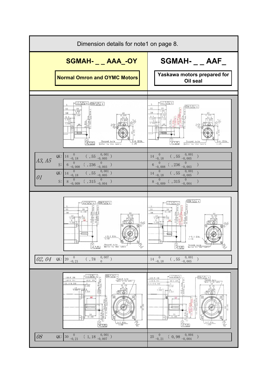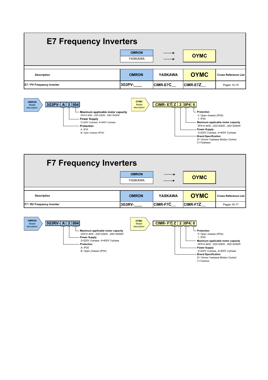# **E7 Frequency Inverters**

|                            | <b>OMRON</b><br>YASKAWA | $\longrightarrow$ | <b>OYMC</b>     |                             |
|----------------------------|-------------------------|-------------------|-----------------|-----------------------------|
| <b>Description</b>         | <b>OMRON</b>            | <b>YASKAWA</b>    | <b>OYMC</b>     | <b>Cross Reference List</b> |
| E7 / PV Frequency Inverter | I3G3PV-                 | <b>CIMR-E7C</b>   | <b>CIMR-E7Z</b> | Pages 14-15                 |



| <b>F7 Frequency Inverters</b> |                         |                |                 |                             |  |  |  |  |
|-------------------------------|-------------------------|----------------|-----------------|-----------------------------|--|--|--|--|
|                               | <b>OMRON</b><br>YASKAWA |                | <b>OYMC</b>     |                             |  |  |  |  |
| <b>Description</b>            | <b>OMRON</b>            | <b>YASKAWA</b> | <b>OYMC</b>     | <b>Cross Reference List</b> |  |  |  |  |
| F7 / RV Frequency Inverter    | 3G3RV-                  | CIMR-F7C       | <b>CIMR-F7Z</b> | Pages 16-17                 |  |  |  |  |

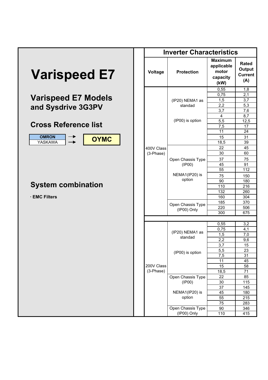|                               |             | <b>Inverter Characteristics</b>  |                                                           |                              |
|-------------------------------|-------------|----------------------------------|-----------------------------------------------------------|------------------------------|
| <b>Varispeed E7</b>           | Voltage     | <b>Protection</b>                | <b>Maximum</b><br>applicable<br>motor<br>capacity<br>(kW) | Rate<br>Outp<br>Curre<br>(A) |
|                               |             |                                  | 0,55                                                      | 1,8                          |
| <b>Varispeed E7 Models</b>    |             |                                  | 0,75                                                      | 2,1                          |
|                               |             | (IP20) NEMA1 as<br>standad       | 1,5<br>2,2                                                | 3,7<br>5,3                   |
| and Sysdrive 3G3PV            |             |                                  | 3,7                                                       | 7,6                          |
|                               |             |                                  | 4                                                         | 8,7                          |
|                               |             | (IP00) is option                 | 5,5                                                       | 12,5                         |
| <b>Cross Reference list</b>   |             |                                  | 7,5                                                       | 17                           |
|                               |             |                                  | 11                                                        | 24                           |
| <b>OMRON</b>                  |             |                                  | 15                                                        | 31                           |
| <b>OYMC</b><br><b>YASKAWA</b> |             |                                  | 18,5                                                      | 39                           |
|                               | 400V Class  |                                  | 22                                                        | 45                           |
|                               | (3-Phase)   |                                  | 30                                                        | 60                           |
|                               |             | Open Chassis Type                | 37                                                        | 75                           |
|                               |             | (IP00)                           | 45                                                        | 91                           |
|                               |             |                                  | 55                                                        | 112                          |
|                               |             | NEMA1(IP20) is                   | 75                                                        | 150                          |
|                               |             | option                           | 90                                                        | 180                          |
| <b>System combination</b>     |             |                                  | 110                                                       | 216                          |
|                               |             |                                  | 132                                                       | 260                          |
| · EMC Filters                 |             |                                  | 160                                                       | 304                          |
|                               |             |                                  | 185                                                       | 370                          |
|                               |             | Open Chassis Type                | 220                                                       | 506                          |
|                               |             | (IP00) Only                      | 300                                                       | 675                          |
|                               |             |                                  |                                                           |                              |
|                               |             |                                  | 0,55                                                      | 3,2                          |
|                               |             |                                  | 0,75                                                      | 4,1                          |
|                               |             | (IP20) NEMA1 as                  | 1,5                                                       | 7,0                          |
|                               |             | standad                          | 2,2                                                       | 9,6                          |
|                               |             |                                  | 3,7                                                       | 15                           |
|                               |             | (IP00) is option                 | 5,5                                                       | 23                           |
|                               |             |                                  | 7,5                                                       | 31                           |
|                               |             |                                  | 11                                                        | 45                           |
|                               | 200V Class  |                                  | 15                                                        | 58                           |
|                               | $(3-Phase)$ |                                  | 18,5                                                      | 71                           |
|                               |             | Open Chassis Type                | 22                                                        | 85                           |
|                               |             | (IP00)                           | $30\,$                                                    | 115                          |
|                               |             |                                  | 37                                                        | 145                          |
|                               |             | NEMA1(IP20) is                   | 45                                                        | 180                          |
|                               |             | option                           | 55                                                        | 215                          |
|                               |             |                                  | 75                                                        | 283                          |
|                               |             | Open Chassis Type<br>(IP00) Only | 90                                                        | 346                          |
|                               |             |                                  | 110                                                       | 415                          |

| <b>Inverter Characteristics</b> |                   |                                                           |                                          |  |  |  |  |  |
|---------------------------------|-------------------|-----------------------------------------------------------|------------------------------------------|--|--|--|--|--|
| Voltage                         | <b>Protection</b> | <b>Maximum</b><br>applicable<br>motor<br>capacity<br>(kW) | Rated<br>Output<br><b>Current</b><br>(A) |  |  |  |  |  |
|                                 |                   | 0,55                                                      | 1,8                                      |  |  |  |  |  |
|                                 |                   | 0,75                                                      | 2,1                                      |  |  |  |  |  |
|                                 | (IP20) NEMA1 as   | 1,5                                                       | 3,7                                      |  |  |  |  |  |
|                                 | standad           | 2,2                                                       | 5,3                                      |  |  |  |  |  |
|                                 |                   | 3,7                                                       | 7,6                                      |  |  |  |  |  |
|                                 |                   | 4                                                         | 8,7                                      |  |  |  |  |  |
|                                 | (IP00) is option  | 5,5                                                       | 12,5                                     |  |  |  |  |  |
|                                 |                   | 7,5                                                       | 17                                       |  |  |  |  |  |
|                                 |                   | 11                                                        | $\overline{24}$                          |  |  |  |  |  |
|                                 |                   | 15                                                        | 31                                       |  |  |  |  |  |
|                                 |                   | 18,5                                                      | $\overline{39}$                          |  |  |  |  |  |
| 400V Class                      |                   | 22                                                        | 45                                       |  |  |  |  |  |
| (3-Phase)                       |                   | 30                                                        | 60                                       |  |  |  |  |  |
|                                 | Open Chassis Type | 37                                                        | 75                                       |  |  |  |  |  |
|                                 | (IP00)            | 45                                                        | 91                                       |  |  |  |  |  |
|                                 |                   | 55                                                        | 112                                      |  |  |  |  |  |
|                                 | NEMA1(IP20) is    | 75                                                        | 150                                      |  |  |  |  |  |
|                                 | option            | 90                                                        | 180                                      |  |  |  |  |  |
|                                 |                   | 110                                                       | 216                                      |  |  |  |  |  |
|                                 |                   | 132                                                       | 260                                      |  |  |  |  |  |
|                                 |                   | 160                                                       | 304                                      |  |  |  |  |  |
|                                 |                   | 185                                                       | 370                                      |  |  |  |  |  |
|                                 | Open Chassis Type | 220                                                       | 506                                      |  |  |  |  |  |
|                                 | (IP00) Only       | 300                                                       | 675                                      |  |  |  |  |  |
|                                 |                   |                                                           |                                          |  |  |  |  |  |
|                                 |                   | 0,55                                                      | 3,2                                      |  |  |  |  |  |
|                                 |                   | 0,75                                                      | 4,1                                      |  |  |  |  |  |
|                                 | (IP20) NEMA1 as   | 1,5                                                       | 7,0                                      |  |  |  |  |  |
|                                 | standad           | 2,2                                                       | 9,6                                      |  |  |  |  |  |
|                                 |                   | 3,7                                                       | 15                                       |  |  |  |  |  |
|                                 |                   | 5,5                                                       | 23                                       |  |  |  |  |  |
|                                 | (IP00) is option  | 7,5                                                       | 31                                       |  |  |  |  |  |
|                                 |                   | 11                                                        | 45                                       |  |  |  |  |  |
| 200V Class                      |                   | 15                                                        | 58                                       |  |  |  |  |  |
| (3-Phase)                       |                   | 18,5                                                      | 71                                       |  |  |  |  |  |
|                                 | Open Chassis Type | 22                                                        | 85                                       |  |  |  |  |  |
|                                 | (IP00)            | 30                                                        | 115                                      |  |  |  |  |  |
|                                 |                   | 37                                                        | 145                                      |  |  |  |  |  |
|                                 | NEMA1(IP20) is    | 45                                                        | 180                                      |  |  |  |  |  |
|                                 | option            | 55                                                        | 215                                      |  |  |  |  |  |
|                                 |                   | 75                                                        | 283                                      |  |  |  |  |  |
|                                 | Open Chassis Type | 90                                                        | 346                                      |  |  |  |  |  |
|                                 | (IP00) Only       | 110                                                       | 415                                      |  |  |  |  |  |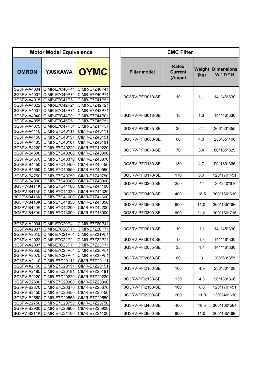|                                           | <b>Motor Model Equivalence</b>                                                 |                                                                  | <b>EMC Filter</b>   |                                          |                |                                  |
|-------------------------------------------|--------------------------------------------------------------------------------|------------------------------------------------------------------|---------------------|------------------------------------------|----------------|----------------------------------|
| <b>OMRON</b>                              | <b>YASKAWA</b>                                                                 | <b>OYMC</b>                                                      | <b>Filter model</b> | <b>Rated</b><br><b>Current</b><br>(Amps) | Weight<br>(kg) | <b>Dimensions</b><br>$W * D * H$ |
| 3G3PV-A4004<br>3G3PV-A4007<br>3G3PV-A4022 | CIMR-E7C40P41<br>CIMR-E7C40P71<br>3G3PV-A4015   CIMR-E7C41P51<br>CIMR-E7C42P21 | CIMR-E7Z40P41<br>CIMR-E7Z40P71<br>CIMR-E7Z41P51<br>CIMR-E7Z42P21 | 3G3RV-PFI3010-SE    | 10                                       | 1,1            | 141*46*330                       |
| 3G3PV-A4037<br>3G3PV-A4040<br>3G3PV-A4055 | CIMR-E7C43P71<br>CIMR-E7C44P01<br>CIMR-E7C45P51                                | CIMR-E7Z43P71<br>CIMR-E7Z44P01<br>CIMR-E7Z45P51                  | 3G3RV-PFI3018-SE    | 18                                       | 1,3            | 141*46*330                       |
| 3G3PV-A4075<br>3G3PV-A4110                | <b>CIMR-E7C47P51</b><br>CIMR-E7C40111                                          | CIMR-E7Z47P51<br>CIMR-E7Z40111                                   | 3G3RV-PFI3035-SE    | 35                                       | 2,1            | 206*50*355                       |
| 3G3PV-A4150<br>3G3PV-A4185                | CIMR-E7C40151<br>CIMR-E7C40181                                                 | CIMR-E7Z40151<br>CIMR-E7Z40181                                   | 3G3RV-PFI3060-SE    | 60                                       | 4,0            | 236*65*408                       |
| 3G3PV-B4220<br>3G3PV-B4300                | CIMR-E7C40220<br>CIMR-E7C40300                                                 | CIMR-E7Z40220<br>CIMR-E7Z40300                                   | 3G3RV-PFI3070-SE    | 70                                       | 3,4            | 80*185*329                       |
| 3G3PV-B4370<br>3G3PV-B4450<br>3G3PV-B4550 | CIMR-E7C40370<br>CIMR-E7C40450<br>CIMR-E7C40550                                | CIMR-E7Z40370<br>CIMR-E7Z40450<br>CIMR-E7Z40550                  | 3G3RV-PFI3130-SE    | 130                                      | 4,7            | 90*180*366                       |
| 3G3PV-B4750                               | CIMR-E7C40750                                                                  | CIMR-E7Z40750                                                    | 3G3RV-PFI3170-SE    | 170                                      | 6,0            | 120*170*451                      |
| 3G3PV-B4900<br>3G3PV-B411K                | CIMR-E7C40900<br>CIMR-E7C41100                                                 | CIMR-E7Z40900<br>CIMR-E7Z41100                                   | 3G3RV-PFI3200-SE    | 250                                      | 11             | 130*240*610                      |
| 3G3PV-B413K<br>3G3PV-B416K                | CIMR-E7C41320<br>CIMR-E7C41600                                                 | CIMR-E7Z41320<br>CIMR-E7Z41600                                   | 3G3RV-PFI3400-SE    | 400                                      | 18,5           | 300*160*610                      |
| 3G3PV-B418K<br>3G3PV-B420K                | CIMR-E7C41850<br>CIMR-E7C42200                                                 | CIMR-E7Z41850<br>CIMR-E7Z42200                                   | 3G3RV-PFI3600-SE    | 600                                      | 11,0           | 260*135*386                      |
| 3G3PV-B430K                               | CIMR-E7C43000                                                                  | CIMR-E7Z43000                                                    | 3G3RV-PFI3800-SE    | 800                                      | 31,0           | 300*160*716                      |
|                                           |                                                                                |                                                                  |                     |                                          |                |                                  |
| 3G3PV-A2007<br>3G3PV-A2015                | 3G3PV-A2004   CIMR-E7C20P41<br><b>CIMR-E7C20P71</b><br>CIMR-E7C21P51           | CIMR-E7Z20P41<br>CIMR-E7Z20P71<br>CIMR-E7Z21P51                  | 3G3RV-PFI3010-SE    | 10                                       | 1,1            | 141*45*330                       |
| 3G3PV-A2022                               | <b>CIMR-E7C22P21</b>                                                           | CIMR-E7Z22P21                                                    | 3G3RV-PFI3018-SE    | 18                                       | 1,3            | 141*46*330                       |
| 3G3PV-A2037                               | CIMR-E7C23P71<br>3G3PV-A2055   CIMR-E7C25P51   CIMR-E7Z25P51                   | CIMR-E7Z23P71                                                    | 3G3RV-PFI2035-SE    | 35                                       | 1,4            | 141*46*330                       |
| 3G3PV-A2110                               | 3G3PV-A2075   CIMR-E7C27P51  <br>CIMR-E7C20111                                 | CIMR-E7Z27P51<br>CIMR-E7Z20111                                   | 3G3RV-PFI2060-SE    | 60                                       | 3              | 206*60*355                       |
| 3G3PV-A2150<br>3G3PV-A2185                | CIMR-E7C20151<br>CIMR-E7C20181                                                 | CIMR-E7Z20151<br>CIMR-E7Z20181                                   | 3G3RV-PFI2100-SE    | 100                                      | 4,9            | 236*80*408                       |
| 3G3PV-B2220<br>3G3PV-B2300                | CIMR-E7C20220<br>CIMR-E7C20300                                                 | CIMR-E7Z20220<br>CIMR-E7Z20300                                   | 3G3RV-PFI2130-SE    | 130                                      | 4,3            | 90*180*366                       |
| 3G3PV-B2370                               | CIMR-E7C20370                                                                  | CIMR-E7Z20370                                                    | 3G3RV-PFI2160-SE    | 160                                      | 6,0            | 120*170*451                      |
| 3G3PV-B2450                               | CIMR-E7C20450                                                                  | CIMR-E7Z20450                                                    | 3G3RV-PFI2200-SE    | 200                                      | 11,0           | 130*240*610                      |
| 3G3PV-B2550                               | CIMR-E7C20550<br>3G3PV-B2750   CIMR-E7C20750                                   | CIMR-E7Z20550<br>CIMR-E7Z20750                                   | 3G3RV-PFI3400-SE    | 400                                      | 18,5           | 300*160*564                      |
|                                           | 3G3PV-B2900   CIMR-E7C20900                                                    | CIMR-E7Z20900                                                    |                     |                                          |                |                                  |
|                                           | 3G3PV-B211K   CIMR-E7C21100                                                    | CIMR-E7Z21100                                                    | 3G3RV-PFI3600-SE    | 600                                      | 11,0           | 260*135*386                      |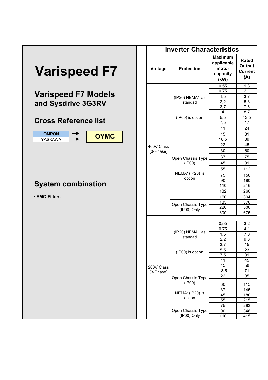|                             | <b>Inverter Characteristics</b> |                   |                                                           |                              |  |
|-----------------------------|---------------------------------|-------------------|-----------------------------------------------------------|------------------------------|--|
| <b>Varispeed F7</b>         | Voltage                         | <b>Protection</b> | <b>Maximum</b><br>applicable<br>motor<br>capacity<br>(kW) | Rate<br>Outp<br>Curre<br>(A) |  |
|                             |                                 |                   | 0,55                                                      | 1,8                          |  |
|                             |                                 |                   | 0,75                                                      | 2,1                          |  |
| <b>Varispeed F7 Models</b>  |                                 | (IP20) NEMA1 as   | 1,5                                                       | 3,7                          |  |
| and Sysdrive 3G3RV          |                                 | standad           | 2,2                                                       | 5,3                          |  |
|                             |                                 |                   | 3,7                                                       | $\overline{7,6}$             |  |
|                             |                                 | (IP00) is option  | $\overline{4}$<br>5,5                                     | 8,7<br>12,5                  |  |
| <b>Cross Reference list</b> |                                 |                   | 7,5                                                       | 17                           |  |
|                             |                                 |                   | 11                                                        | 24                           |  |
| <b>OMRON</b>                |                                 |                   | 15                                                        | 31                           |  |
| <b>OYMC</b><br>YASKAWA      |                                 |                   | 18,5                                                      | 39                           |  |
|                             |                                 |                   | 22                                                        | 45                           |  |
|                             | 400V Class<br>(3-Phase)         |                   | 30                                                        | 60                           |  |
|                             |                                 |                   | 37                                                        | 75                           |  |
|                             |                                 | Open Chassis Type |                                                           |                              |  |
|                             |                                 | (IP00)            | 45                                                        | 91                           |  |
|                             |                                 | NEMA1(IP20) is    | 55                                                        | 112                          |  |
|                             |                                 | option            | 75                                                        | 150                          |  |
| <b>System combination</b>   |                                 |                   | 90<br>110                                                 | 180<br>216                   |  |
|                             |                                 |                   | 132                                                       | 260                          |  |
| · EMC Filters               |                                 |                   | 160                                                       | 304                          |  |
|                             |                                 |                   | 185                                                       | 370                          |  |
|                             |                                 | Open Chassis Type | 220                                                       | 506                          |  |
|                             |                                 | (IP00) Only       | 300                                                       | 675                          |  |
|                             |                                 |                   |                                                           |                              |  |
|                             |                                 |                   | 0,55                                                      | 3,2                          |  |
|                             |                                 | (IP20) NEMA1 as   | 0,75                                                      | 4,1                          |  |
|                             |                                 | standad           | 1,5                                                       | 7,0                          |  |
|                             |                                 |                   | 2,2<br>$\overline{3.7}$                                   | 9,6<br>$\overline{15}$       |  |
|                             |                                 |                   | 5,5                                                       | 23                           |  |
|                             |                                 | (IP00) is option  | 7,5                                                       | 31                           |  |
|                             |                                 |                   | 11                                                        | 45                           |  |
|                             | 200V Class                      |                   | 15                                                        | 58                           |  |
|                             | (3-Phase)                       |                   | 18,5                                                      | 71                           |  |
|                             |                                 | Open Chassis Type | 22                                                        | 85                           |  |
|                             |                                 | (IP00)            | 30                                                        | 115                          |  |
|                             |                                 |                   | 37                                                        | 145                          |  |
|                             |                                 | NEMA1(IP20) is    | 45                                                        | 180                          |  |
|                             |                                 | option            | 55                                                        | 215                          |  |
|                             |                                 |                   | 75                                                        | 283                          |  |
|                             |                                 | Open Chassis Type | $90\,$                                                    | 346                          |  |
|                             |                                 | $(IP00)$ Only     | 110                                                       | 115                          |  |

| <b>Inverter Characteristics</b> |                             |                                                           |                                                 |  |  |  |  |
|---------------------------------|-----------------------------|-----------------------------------------------------------|-------------------------------------------------|--|--|--|--|
| Voltage                         | <b>Protection</b>           | <b>Maximum</b><br>applicable<br>motor<br>capacity<br>(kW) | <b>Rated</b><br>Output<br><b>Current</b><br>(A) |  |  |  |  |
|                                 |                             | 0,55                                                      | 1,8                                             |  |  |  |  |
|                                 |                             | 0,75                                                      | 2,1                                             |  |  |  |  |
|                                 | (IP20) NEMA1 as             | 1,5                                                       | 3,7                                             |  |  |  |  |
|                                 | standad                     | 2,2                                                       | 5,3                                             |  |  |  |  |
|                                 |                             | 3,7                                                       | 7,6                                             |  |  |  |  |
|                                 |                             | 4                                                         | 8,7                                             |  |  |  |  |
|                                 | (IP00) is option            | 5,5                                                       | 12,5                                            |  |  |  |  |
|                                 |                             | 7,5                                                       | 17                                              |  |  |  |  |
|                                 |                             | 11                                                        | 24                                              |  |  |  |  |
|                                 |                             | 15                                                        | 31                                              |  |  |  |  |
|                                 |                             | 18,5                                                      | 39                                              |  |  |  |  |
| 400V Class                      |                             | 22                                                        | 45                                              |  |  |  |  |
| (3-Phase)                       |                             | 30                                                        | 60                                              |  |  |  |  |
|                                 | Open Chassis Type           | 37                                                        | 75                                              |  |  |  |  |
|                                 | (IP00)                      | 45                                                        | 91                                              |  |  |  |  |
|                                 |                             | 55                                                        | 112                                             |  |  |  |  |
|                                 | NEMA1(IP20) is              | 75                                                        | 150                                             |  |  |  |  |
|                                 | option                      | 90                                                        | 180                                             |  |  |  |  |
|                                 |                             | 110                                                       | 216                                             |  |  |  |  |
|                                 |                             | 132                                                       | 260                                             |  |  |  |  |
|                                 |                             | 160                                                       | 304                                             |  |  |  |  |
|                                 |                             | 185                                                       | 370                                             |  |  |  |  |
|                                 | Open Chassis Type           | 220                                                       | 506                                             |  |  |  |  |
|                                 | (IP00) Only                 | 300                                                       | 675                                             |  |  |  |  |
|                                 |                             |                                                           |                                                 |  |  |  |  |
|                                 |                             | 0,55                                                      | 3,2                                             |  |  |  |  |
|                                 |                             | 0,75                                                      | 4,1                                             |  |  |  |  |
|                                 | (IP20) NEMA1 as             | 1,5                                                       | 7,0                                             |  |  |  |  |
|                                 | standad                     | 2,2                                                       | 9,6                                             |  |  |  |  |
|                                 |                             | 3,7                                                       | 15                                              |  |  |  |  |
|                                 | (IP00) is option            | 5,5                                                       | 23                                              |  |  |  |  |
|                                 |                             | 7,5                                                       | 31                                              |  |  |  |  |
|                                 |                             | 11                                                        | 45                                              |  |  |  |  |
| 200V Class                      |                             | 15                                                        | 58                                              |  |  |  |  |
| (3-Phase)                       |                             | 18,5                                                      | 71                                              |  |  |  |  |
|                                 | Open Chassis Type<br>(IP00) | 22                                                        | 85                                              |  |  |  |  |
|                                 |                             | 30                                                        | 115                                             |  |  |  |  |
|                                 | NEMA1(IP20) is              | 37                                                        | 145                                             |  |  |  |  |
|                                 | option                      | 45                                                        | 180                                             |  |  |  |  |
|                                 |                             | 55                                                        | 215                                             |  |  |  |  |
|                                 | Open Chassis Type           | 75                                                        | 283                                             |  |  |  |  |
|                                 | (IP00) Only                 | 90<br>110                                                 | 346<br>415                                      |  |  |  |  |
|                                 |                             |                                                           |                                                 |  |  |  |  |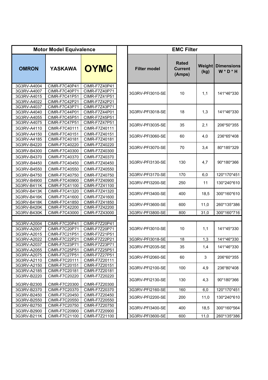|                            | <b>Motor Model Equivalence</b>               |                                       |                     |
|----------------------------|----------------------------------------------|---------------------------------------|---------------------|
| <b>OMRON</b>               | <b>YASKAWA</b>                               | <b>OYMC</b>                           | <b>Filter model</b> |
| 3G3RV-A4004<br>3G3RV-A4007 | CIMR-F7C40P41<br>CIMR-F7C40P71               | CIMR-F7Z40P41<br>CIMR-F7Z40P71        |                     |
| 3G3RV-A4015<br>3G3RV-A4022 | <b>CIMR-F7C41P51</b><br><b>CIMR-F7C42P21</b> | CIMR-F7Z41P51<br>CIMR-F7Z42P21        | 3G3RV-PFI3010-      |
| 3G3RV-A4037<br>3G3RV-A4040 | <b>CIMR-F7C43P71</b><br><b>CIMR-F7C44P01</b> | CIMR-F7Z43P71<br>CIMR-F7Z44P01        | 3G3RV-PFI3018-      |
| 3G3RV-A4055<br>3G3RV-A4075 | <b>CIMR-F7C45P51</b><br><b>CIMR-F7C47P51</b> | CIMR-F7Z45P51<br><b>CIMR-F7Z47P51</b> | 3G3RV-PFI3035-      |
| 3G3RV-A4110<br>3G3RV-A4150 | CIMR-F7C40111<br>CIMR-F7C40151               | CIMR-F7Z40111<br>CIMR-F7Z40151        | 3G3RV-PFI3060-      |
| 3G3RV-A4185<br>3G3RV-B4220 | CIMR-F7C40181<br>CIMR-F7C40220               | CIMR-F7Z40181<br>CIMR-F7Z40220        | 3G3RV-PFI3070-      |
| 3G3RV-B4300<br>3G3RV-B4370 | CIMR-F7C40300<br>CIMR-F7C40370               | CIMR-F7Z40300<br>CIMR-F7Z40370        |                     |
| 3G3RV-B4450<br>3G3RV-B4550 | CIMR-F7C40450<br>CIMR-F7C40550               | CIMR-F7Z40450<br>CIMR-F7Z40550        | 3G3RV-PFI3130-      |
| 3G3RV-B4750                | CIMR-F7C40750                                | CIMR-F7Z40750                         | 3G3RV-PFI3170-      |
| 3G3RV-B4900<br>3G3RV-B411K | CIMR-F7C40900<br>CIMR-F7C41100               | CIMR-F7Z40900<br>CIMR-F7Z41100        | 3G3RV-PFI3200-      |
| 3G3RV-B413K<br>3G3RV-B416K | CIMR-F7C41320<br>CIMR-F7C41600               | CIMR-F7Z41320<br>CIMR-F7Z41600        | 3G3RV-PFI3400-      |
| 3G3RV-B418K<br>3G3RV-B420K | CIMR-F7C41850<br>CIMR-F7C42200               | CIMR-F7Z41850<br>CIMR-F7Z42200        | 3G3RV-PFI3600-      |
| 3G3RV-B430K                | CIMR-F7C43000                                | CIMR-F7Z43000                         | 3G3RV-PFI3800-      |
| 3G3RV-A2004                | <b>CIMR-F7C20P41</b>                         | CIMR-F7Z20P41                         |                     |
| 3G3RV-A2007<br>3G3RV-A2015 | <b>CIMR-F7C20P71</b><br><b>CIMR-F7C21P51</b> | CIMR-F7Z20P71<br>CIMR-F7Z21P51        | 3G3RV-PFI3010-      |
| 3G3RV-A2022                | <b>CIMR-F7C22P21</b>                         | CIMR-F7Z22P21                         | 3G3RV-PFI3018-      |
| 3G3RV-A2037<br>3G3RV-A2055 | CIMR-F7C23P71<br>CIMR-F7C25P51               | CIMR-F7Z23P71<br>CIMR-F7Z25P51        | 3G3RV-PFI2035-      |
| 3G3RV-A2075<br>3G3RV-A2110 | <b>CIMR-F7C27P51</b><br>CIMR-F7C20111        | <b>CIMR-F7Z27P51</b><br>CIMR-F7Z20111 | 3G3RV-PFI2060-      |
| 3G3RV-A2150<br>3G3RV-A2185 | CIMR-F7C20151<br>CIMR-F7C20181               | CIMR-F7Z20151<br>CIMR-F7Z20181        | 3G3RV-PFI2100-      |
| 3G3RV-B2220<br>3G3RV-B2300 | CIMR-F7C20220<br>CIMR-F7C20300               | CIMR-F7Z20220<br>CIMR-F7Z20300        | 3G3RV-PFI2130-      |
| 3G3RV-B2370                | CIMR-F7C20370                                | CIMR-F7Z20370                         | 3G3RV-PFI2160-      |
| 3G3RV-B2450<br>3G3RV-B2550 | CIMR-F7C20450<br>CIMR-F7C20550               | CIMR-F7Z20450<br>CIMR-F7Z20550        | 3G3RV-PFI2200-      |
| 3G3RV-B2750                | CIMR-F7C20750<br>CIMR-F7C20900               | CIMR-F7Z20750                         | 3G3RV-PFI3400-      |
| 3G3RV-B2900<br>3G3RV-B211K | CIMR-F7C21100                                | CIMR-F7Z20900<br>CIMR-F7Z21100        | 3G3RV-PFI3600-      |

|                                                          | <b>Motor Model Equivalence</b>                                                 |                                                                  |                     | <b>EMC Filter</b>                        |                |                                  |
|----------------------------------------------------------|--------------------------------------------------------------------------------|------------------------------------------------------------------|---------------------|------------------------------------------|----------------|----------------------------------|
| <b>OMRON</b>                                             | <b>YASKAWA</b>                                                                 | <b>OYMC</b>                                                      | <b>Filter model</b> | <b>Rated</b><br><b>Current</b><br>(Amps) | Weight<br>(kg) | <b>Dimensions</b><br>$W * D * H$ |
| 3G3RV-A4004<br>3G3RV-A4007<br>3G3RV-A4015<br>3G3RV-A4022 | CIMR-F7C40P41<br><b>CIMR-F7C40P71</b><br><b>CIMR-F7C41P51</b><br>CIMR-F7C42P21 | CIMR-F7Z40P41<br>CIMR-F7Z40P71<br>CIMR-F7Z41P51<br>CIMR-F7Z42P21 | 3G3RV-PFI3010-SE    | 10                                       | 1,1            | 141*46*330                       |
| 3G3RV-A4037<br>3G3RV-A4040<br>3G3RV-A4055                | CIMR-F7C43P71<br><b>CIMR-F7C44P01</b><br><b>CIMR-F7C45P51</b>                  | CIMR-F7Z43P71<br>CIMR-F7Z44P01<br>CIMR-F7Z45P51                  | 3G3RV-PFI3018-SE    | 18                                       | 1,3            | 141*46*330                       |
| 3G3RV-A4075<br>3G3RV-A4110                               | <b>CIMR-F7C47P51</b><br>CIMR-F7C40111                                          | CIMR-F7Z47P51<br>CIMR-F7Z40111                                   | 3G3RV-PFI3035-SE    | 35                                       | 2,1            | 206*50*355                       |
| 3G3RV-A4150<br>3G3RV-A4185                               | CIMR-F7C40151<br>CIMR-F7C40181                                                 | CIMR-F7Z40151<br>CIMR-F7Z40181                                   | 3G3RV-PFI3060-SE    | 60                                       | 4,0            | 236*65*408                       |
| 3G3RV-B4220<br>3G3RV-B4300                               | CIMR-F7C40220<br>CIMR-F7C40300                                                 | CIMR-F7Z40220<br>CIMR-F7Z40300                                   | 3G3RV-PFI3070-SE    | 70                                       | 3,4            | 80*185*329                       |
| 3G3RV-B4370<br>3G3RV-B4450<br>3G3RV-B4550                | CIMR-F7C40370<br>CIMR-F7C40450<br>CIMR-F7C40550                                | CIMR-F7Z40370<br>CIMR-F7Z40450<br>CIMR-F7Z40550                  | 3G3RV-PFI3130-SE    | 130                                      | 4,7            | 90*180*366                       |
| 3G3RV-B4750                                              | CIMR-F7C40750                                                                  | CIMR-F7Z40750                                                    | 3G3RV-PFI3170-SE    | 170                                      | 6,0            | 120*170*451                      |
| 3G3RV-B4900<br>3G3RV-B411K                               | CIMR-F7C40900<br>CIMR-F7C41100                                                 | CIMR-F7Z40900<br>CIMR-F7Z41100                                   | 3G3RV-PFI3200-SE    | 250                                      | 11             | 130*240*610                      |
| 3G3RV-B413K<br>3G3RV-B416K                               | CIMR-F7C41320<br>CIMR-F7C41600                                                 | CIMR-F7Z41320<br>CIMR-F7Z41600                                   | 3G3RV-PFI3400-SE    | 400                                      | 18,5           | 300*160*610                      |
| 3G3RV-B418K<br>3G3RV-B420K                               | CIMR-F7C41850<br>CIMR-F7C42200                                                 | CIMR-F7Z41850<br>CIMR-F7Z42200                                   | 3G3RV-PFI3600-SE    | 600                                      | 11,0           | 260*135*386                      |
| 3G3RV-B430K                                              | CIMR-F7C43000                                                                  | CIMR-F7Z43000                                                    | 3G3RV-PFI3800-SE    | 800                                      | 31,0           | 300*160*716                      |
|                                                          |                                                                                |                                                                  |                     |                                          |                |                                  |
| 3G3RV-A2004<br>3G3RV-A2007<br>3G3RV-A2015                | <b>CIMR-F7C20P41</b><br><b>CIMR-F7C20P71</b><br>CIMR-F7C21P51                  | <b>CIMR-F7Z20P41</b><br>CIMR-F7Z20P71<br>CIMR-F7Z21P51           | 3G3RV-PFI3010-SE    | 10                                       | 1,1            | 141*45*330                       |
| 3G3RV-A2022                                              | CIMR-F7C22P21                                                                  | CIMR-F7Z22P21                                                    | 3G3RV-PFI3018-SE    | 18                                       | 1,3            | 141*46*330                       |
| 3G3RV-A2037<br>3G3RV-A2055                               | CIMR-F7C23P71<br><b>CIMR-F7C25P51</b>                                          | CIMR-F7Z23P71<br>CIMR-F7Z25P51                                   | 3G3RV-PFI2035-SE    | 35                                       | 1,4            | 141*46*330                       |
| 3G3RV-A2075<br>3G3RV-A2110                               | <b>CIMR-F7C27P51</b><br>CIMR-F7C20111                                          | CIMR-F7Z27P51<br>CIMR-F7Z20111                                   | 3G3RV-PFI2060-SE    | 60                                       | 3              | 206*60*355                       |
| 3G3RV-A2150<br>3G3RV-A2185                               | CIMR-F7C20151<br>CIMR-F7C20181                                                 | CIMR-F7Z20151<br>CIMR-F7Z20181                                   | 3G3RV-PFI2100-SE    | 100                                      | 4,9            | 236*80*408                       |
| 3G3RV-B2220<br>3G3RV-B2300                               | CIMR-F7C20220<br>CIMR-F7C20300                                                 | CIMR-F7Z20220<br>CIMR-F7Z20300                                   | 3G3RV-PFI2130-SE    | 130                                      | 4,3            | 90*180*366                       |
| 3G3RV-B2370                                              | CIMR-F7C20370                                                                  | CIMR-F7Z20370                                                    | 3G3RV-PFI2160-SE    | 160                                      | 6,0            | 120*170*451                      |
| 3G3RV-B2450                                              | CIMR-F7C20450                                                                  | CIMR-F7Z20450                                                    | 3G3RV-PFI2200-SE    | 200                                      | 11,0           | 130*240*610                      |
| 3G3RV-B2550                                              | CIMR-F7C20550                                                                  | CIMR-F7Z20550                                                    |                     |                                          |                |                                  |
| 3G3RV-B2750                                              | CIMR-F7C20750                                                                  | CIMR-F7Z20750                                                    | 3G3RV-PFI3400-SE    | 400                                      | 18,5           | 300*160*564                      |
| 3G3RV-B2900                                              | CIMR-F7C20900                                                                  | CIMR-F7Z20900                                                    |                     |                                          |                |                                  |
| 3G3RV-B211K                                              | CIMR-F7C21100                                                                  | CIMR-F7Z21100                                                    | 3G3RV-PFI3600-SE    | 600                                      | 11,0           | 260*135*386                      |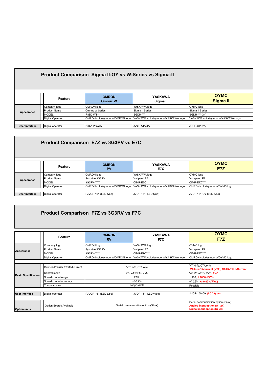| Product Comparison Sigma II-OY vs W-Series vs Sigma-II                              |                                                                            |                                                    |                                                                                                                     |                                                                                     |  |  |  |
|-------------------------------------------------------------------------------------|----------------------------------------------------------------------------|----------------------------------------------------|---------------------------------------------------------------------------------------------------------------------|-------------------------------------------------------------------------------------|--|--|--|
|                                                                                     | Feature                                                                    | <b>OMRON</b><br><b>Omnuc W</b>                     | <b>YASKAWA</b><br>Sigma II                                                                                          | <b>OYMC</b><br><b>Sigma II</b>                                                      |  |  |  |
| Appearance                                                                          | Company logo<br><b>I</b> Product Name<br><b>IMODEL</b><br>Digital Operator | OMRON logo<br><b>Omnuc W Series</b><br>R88D-WT**** | YASKAWA logo<br>Sigma II Series<br>ISGDH-***<br>OMRON color/symbol w/OMRON logo YASKAWA color/symbol w/YASKAWA logo | OYMC logo<br>Sigma II Series<br>ISGDH-***-OY<br>YASKAWA color/symbol w/YASKAWA logo |  |  |  |
| JUSP-OP02A<br>R88A-PR02W<br>JUSP-OP02A<br>Digital operator<br><b>User Interface</b> |                                                                            |                                                    |                                                                                                                     |                                                                                     |  |  |  |

| Product Comparison E7Z vs 3G3PV vs E7C |                     |                      |                                                                     |                                |  |  |  |
|----------------------------------------|---------------------|----------------------|---------------------------------------------------------------------|--------------------------------|--|--|--|
|                                        | Feature             | <b>OMRON</b><br>PV   | <b>YASKAWA</b><br>E7C                                               | <b>OYMC</b><br>E7Z             |  |  |  |
| Appearance                             | Company logo        | OMRON logo           | YASKAWA logo                                                        | OYMC logo                      |  |  |  |
|                                        | <b>Product Name</b> | Sysdrive 3G3PV       | Varipeed E7                                                         | Varispeed E7                   |  |  |  |
|                                        | <b>IMODEL</b>       | 3G3PV-*****          | CIMR-E7C****                                                        | CIMR-E7Z****                   |  |  |  |
|                                        | Digital Operator    |                      | OMRON color/symbol w/OMRON logo YASKAWA color/symbol w/YASKAWA logo | OMRON color/symbol w/OYMC logo |  |  |  |
|                                        |                     |                      |                                                                     |                                |  |  |  |
| <b>User Interface</b>                  | Digital operator    | PJVOP-161 (LED type) | JVOP-161 (LED type)                                                 | JVOP-161-OY (LED type)         |  |  |  |

# **Product Comparison F7Z vs 3G3RV vs F7C**

|                            | Feature                           | <b>OMRON</b><br><b>RV</b>           | YASKAWA<br>F7C                      | <b>OYMC</b><br>F7Z                                                                                        |
|----------------------------|-----------------------------------|-------------------------------------|-------------------------------------|-----------------------------------------------------------------------------------------------------------|
| Appearance                 | Company logo                      | OMRON logo                          | YASKAWA logo                        | OYMC logo                                                                                                 |
|                            | Product Name                      | Sysdrive 3G3RV                      | Varipeed F7                         | Varispeed F7                                                                                              |
|                            | <b>MODEL</b>                      | 3G3RV-*****                         | <b>CIMR-F7C****</b>                 | CIMR-F7Z****                                                                                              |
|                            | Digital Operator                  | OMRON color/symbol w/OMRON logo     | YASKAWA color/symbol w/YASKAWA logo | OMRON color/symbol w/OYMC logo                                                                            |
|                            |                                   |                                     |                                     |                                                                                                           |
| <b>Basic Specification</b> | Overload/carrier fc/rated current | VT/Hi-fc, CT/Lo-fc                  |                                     | VT/Hi-fc, CT/Lo-fc<br>VT/lo-fc/hi-current (VT2), CT/Hi-fc/Lo-Current                                      |
|                            | Control mode                      | V/f, V/f w/PG, VVC                  |                                     | V/f, V/f w/PG, VVC, FVC                                                                                   |
|                            | Speed control range               | 1:100                               |                                     | 1:100, 1:1000 (FVC)                                                                                       |
|                            | Speed control accuracy            | $+/-0.2%$                           |                                     | $+/-0.2\%$ , $+/-0.02\%$ (FVC)                                                                            |
|                            | Torque control                    | not possible                        |                                     | Possible                                                                                                  |
|                            |                                   |                                     |                                     |                                                                                                           |
| User Interface             | Digital operator                  | PJVOP-161 (LED type)                | JVOP-161 (LED yype)                 | JVOP-160-OY (LCD type)                                                                                    |
|                            |                                   |                                     |                                     |                                                                                                           |
| <b>Option units</b>        | Option Boards Available           | Serial communication option (SI-xx) |                                     | Serial communication option (Si-xx)<br><b>Analog input option (A1-xx)</b><br>Digital input option (Di-xx) |